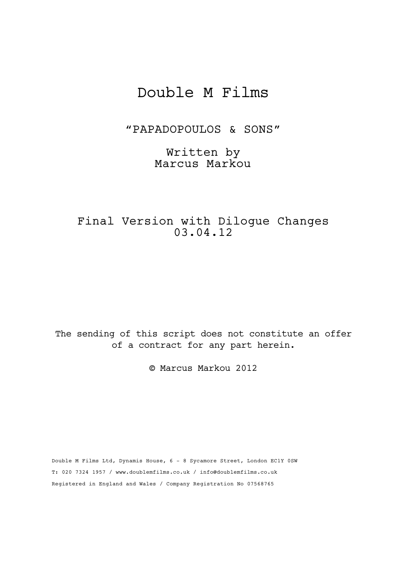# Double M Films

"PAPADOPOULOS & SONS"

Written by Marcus Markou

Final Version with Dilogue Changes 03.04.12

The sending of this script does not constitute an offer of a contract for any part herein.

© Marcus Markou 2012

Double M Films Ltd, Dynamis House, 6 - 8 Sycamore Street, London EC1Y 0SW T: 020 7324 1957 / www.doublemfilms.co.uk / info@doublemfilms.co.uk Registered in England and Wales / Company Registration No 07568765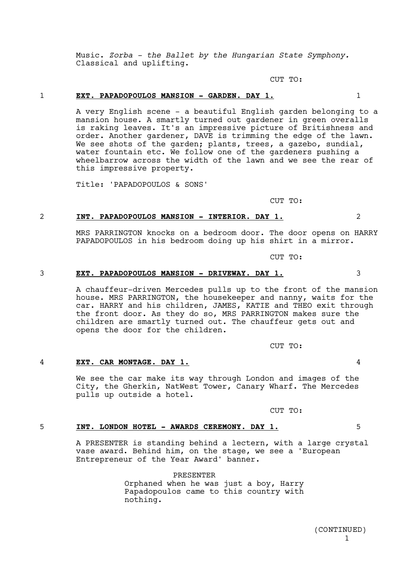1 (CONTINUED)

## 1 **EXT. PAPADOPOULOS MANSION - GARDEN. DAY 1.** 1

CUT TO:

CUT TO:

## 2 **INT. PAPADOPOULOS MANSION - INTERIOR. DAY 1.** 2

MRS PARRINGTON knocks on a bedroom door. The door opens on HARRY PAPADOPOULOS in his bedroom doing up his shirt in a mirror.

Music. *Zorba - the Ballet by the Hungarian State Symphony.* 

A very English scene - a beautiful English garden belonging to a mansion house. A smartly turned out gardener in green overalls is raking leaves. It's an impressive picture of Britishness and order. Another gardener, DAVE is trimming the edge of the lawn. We see shots of the garden; plants, trees, a gazebo, sundial, water fountain etc. We follow one of the gardeners pushing a wheelbarrow across the width of the lawn and we see the rear of

CUT TO:

#### 3 **EXT. PAPADOPOULOS MANSION - DRIVEWAY. DAY 1.** 3

Classical and uplifting.

this impressive property.

Title: 'PAPADOPOULOS & SONS'

A chauffeur-driven Mercedes pulls up to the front of the mansion house. MRS PARRINGTON, the housekeeper and nanny, waits for the car. HARRY and his children, JAMES, KATIE and THEO exit through the front door. As they do so, MRS PARRINGTON makes sure the children are smartly turned out. The chauffeur gets out and opens the door for the children.

CUT TO:

#### 4 **EXT. CAR MONTAGE. DAY 1.** 4

We see the car make its way through London and images of the City, the Gherkin, NatWest Tower, Canary Wharf. The Mercedes pulls up outside a hotel.

CUT TO:

#### 5 **INT. LONDON HOTEL - AWARDS CEREMONY. DAY 1.** 5

A PRESENTER is standing behind a lectern, with a large crystal vase award. Behind him, on the stage, we see a 'European Entrepreneur of the Year Award' banner.

PRESENTER

Orphaned when he was just a boy, Harry Papadopoulos came to this country with nothing.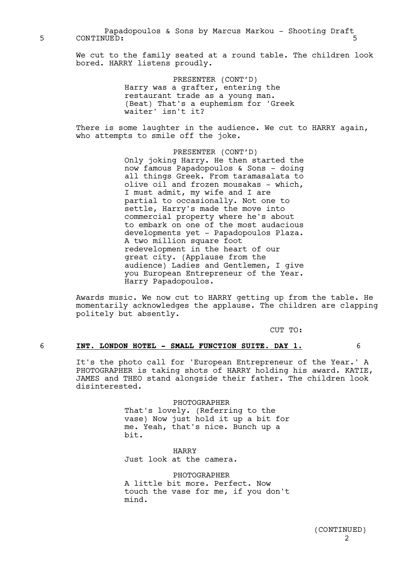Papadopoulos & Sons by Marcus Markou - Shooting Draft 5 CONTINUED: 5

> We cut to the family seated at a round table. The children look bored. HARRY listens proudly.

> > PRESENTER (CONT'D) Harry was a grafter, entering the restaurant trade as a young man. (Beat) That's a euphemism for 'Greek waiter' isn't it?

There is some laughter in the audience. We cut to HARRY again, who attempts to smile off the joke.

> PRESENTER (CONT'D) Only joking Harry. He then started the now famous Papadopoulos & Sons - doing all things Greek. From taramasalata to olive oil and frozen mousakas - which, I must admit, my wife and I are partial to occasionally. Not one to settle, Harry's made the move into commercial property where he's about to embark on one of the most audacious developments yet - Papadopoulos Plaza. A two million square foot redevelopment in the heart of our great city. (Applause from the audience) Ladies and Gentlemen, I give you European Entrepreneur of the Year. Harry Papadopoulos.

Awards music. We now cut to HARRY getting up from the table. He momentarily acknowledges the applause. The children are clapping politely but absently.

CUT TO:

## 6 **INT. LONDON HOTEL - SMALL FUNCTION SUITE. DAY 1.** 6

It's the photo call for 'European Entrepreneur of the Year.' A PHOTOGRAPHER is taking shots of HARRY holding his award. KATIE, JAMES and THEO stand alongside their father. The children look disinterested.

> PHOTOGRAPHER That's lovely. (Referring to the vase) Now just hold it up a bit for me. Yeah, that's nice. Bunch up a bit.

HARRY Just look at the camera.

PHOTOGRAPHER A little bit more. Perfect. Now touch the vase for me, if you don't mind.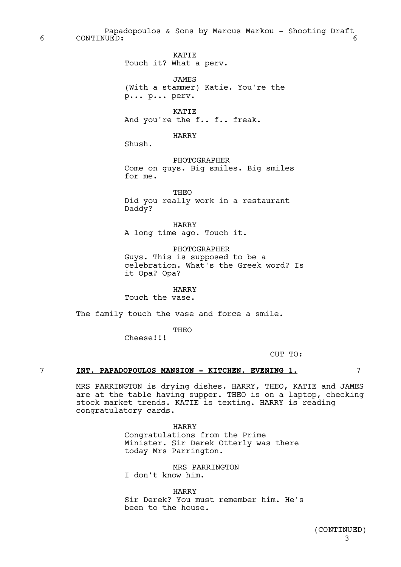Papadopoulos & Sons by Marcus Markou - Shooting Draft 6 CONTINUED: 6

KATIE

Touch it? What a perv. JAMES (With a stammer) Katie. You're the p... p... perv. KATIE And you're the f.. f.. freak. HARRY Shush. PHOTOGRAPHER Come on guys. Big smiles. Big smiles for me. THEO Did you really work in a restaurant Daddy? HARRY A long time ago. Touch it. PHOTOGRAPHER Guys. This is supposed to be a celebration. What's the Greek word? Is it Opa? Opa?

HARRY

Touch the vase.

The family touch the vase and force a smile.

THEO Cheese!!!

CUT TO:

#### 7 **INT. PAPADOPOULOS MANSION - KITCHEN. EVENING 1.** 7

MRS PARRINGTON is drying dishes. HARRY, THEO, KATIE and JAMES are at the table having supper. THEO is on a laptop, checking stock market trends. KATIE is texting. HARRY is reading congratulatory cards.

> HARRY Congratulations from the Prime Minister. Sir Derek Otterly was there today Mrs Parrington.

MRS PARRINGTON I don't know him.

HARRY Sir Derek? You must remember him. He's been to the house.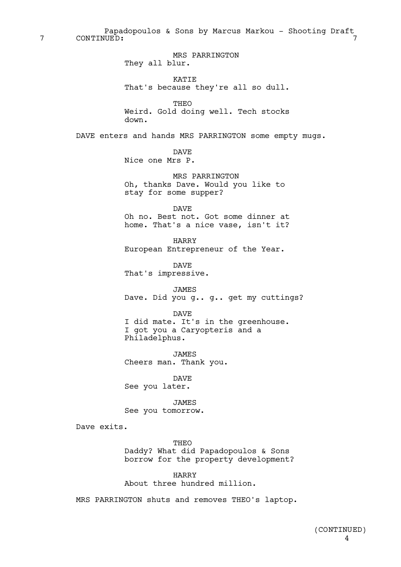Papadopoulos & Sons by Marcus Markou - Shooting Draft 7 CONTINUED: 7

> MRS PARRINGTON They all blur.

KATIE That's because they're all so dull.

THEO Weird. Gold doing well. Tech stocks down.

DAVE enters and hands MRS PARRINGTON some empty mugs.

DAVE Nice one Mrs P.

MRS PARRINGTON Oh, thanks Dave. Would you like to stay for some supper?

DAVE Oh no. Best not. Got some dinner at home. That's a nice vase, isn't it?

HARRY European Entrepreneur of the Year.

DAVE That's impressive.

JAMES Dave. Did you g.. g.. get my cuttings?

DAVE I did mate. It's in the greenhouse. I got you a Caryopteris and a Philadelphus.

JAMES Cheers man. Thank you.

DAVE See you later.

JAMES See you tomorrow.

Dave exits.

**THEO** Daddy? What did Papadopoulos & Sons borrow for the property development?

HARRY About three hundred million.

MRS PARRINGTON shuts and removes THEO's laptop.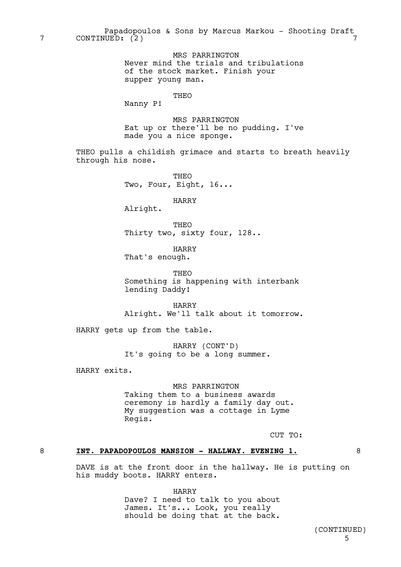MRS PARRINGTON Never mind the trials and tribulations of the stock market. Finish your supper young man.

## THEO

Nanny P!

MRS PARRINGTON Eat up or there'll be no pudding. I've made you a nice sponge.

THEO pulls a childish grimace and starts to breath heavily through his nose.

> **THEO** Two, Four, Eight, 16...

> > HARRY

Alright.

THEO Thirty two, sixty four, 128..

HARRY That's enough.

THEO Something is happening with interbank lending Daddy!

HARRY Alright. We'll talk about it tomorrow.

HARRY gets up from the table.

HARRY (CONT'D) It's going to be a long summer.

HARRY exits.

MRS PARRINGTON Taking them to a business awards ceremony is hardly a family day out. My suggestion was a cottage in Lyme Regis.

CUT TO:

## 8 **INT. PAPADOPOULOS MANSION - HALLWAY. EVENING 1.** 8

DAVE is at the front door in the hallway. He is putting on his muddy boots. HARRY enters.

HARRY

Dave? I need to talk to you about James. It's... Look, you really should be doing that at the back.

> 5 (CONTINUED)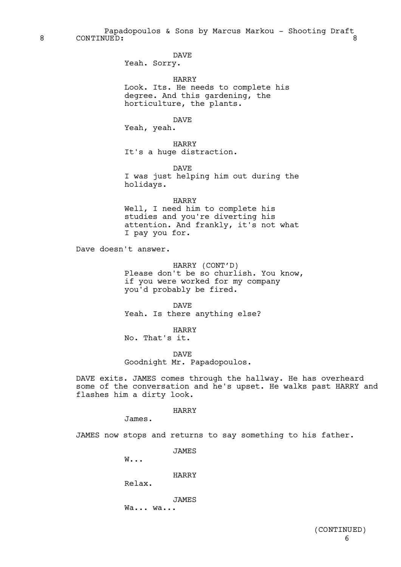Papadopoulos & Sons by Marcus Markou - Shooting Draft 8 CONTINUED: 8

DAVE

Yeah. Sorry.

HARRY Look. Its. He needs to complete his degree. And this gardening, the horticulture, the plants.

DAVE

Yeah, yeah.

HARRY It's a huge distraction.

DAVE I was just helping him out during the holidays.

HARRY Well, I need him to complete his studies and you're diverting his attention. And frankly, it's not what I pay you for.

Dave doesn't answer.

HARRY (CONT'D) Please don't be so churlish. You know, if you were worked for my company you'd probably be fired.

DAVE Yeah. Is there anything else?

HARRY No. That's it.

DAVE Goodnight Mr. Papadopoulos.

DAVE exits. JAMES comes through the hallway. He has overheard some of the conversation and he's upset. He walks past HARRY and flashes him a dirty look.

#### HARRY

James.

JAMES now stops and returns to say something to his father.

JAMES

W...

HARRY

Relax.

JAMES

Wa... wa...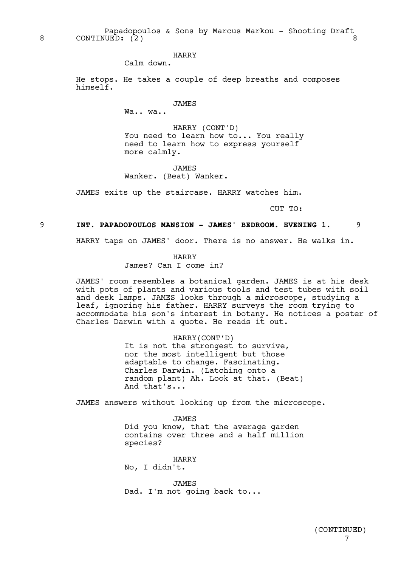Papadopoulos & Sons by Marcus Markou - Shooting Draft 8 CONTINUED: (2)

HARRY

Calm down.

He stops. He takes a couple of deep breaths and composes himself.

JAMES

Wa.. wa..

HARRY (CONT'D) You need to learn how to... You really need to learn how to express yourself more calmly.

JAMES Wanker. (Beat) Wanker.

JAMES exits up the staircase. HARRY watches him.

CUT TO:

#### 9 **INT. PAPADOPOULOS MANSION - JAMES' BEDROOM. EVENING 1.** 9

HARRY taps on JAMES' door. There is no answer. He walks in.

HARRY

James? Can I come in?

JAMES' room resembles a botanical garden. JAMES is at his desk with pots of plants and various tools and test tubes with soil and desk lamps. JAMES looks through a microscope, studying a leaf, ignoring his father. HARRY surveys the room trying to accommodate his son's interest in botany. He notices a poster of Charles Darwin with a quote. He reads it out.

> HARRY(CONT'D) It is not the strongest to survive, nor the most intelligent but those adaptable to change. Fascinating. Charles Darwin. (Latching onto a random plant) Ah. Look at that. (Beat) And that's...

JAMES answers without looking up from the microscope.

JAMES Did you know, that the average garden contains over three and a half million species?

HARRY No, I didn't.

JAMES Dad. I'm not going back to...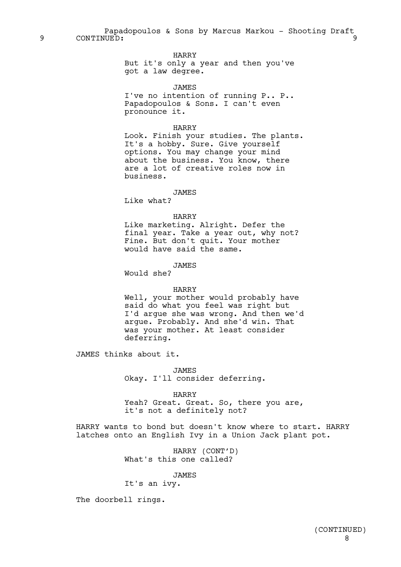Papadopoulos & Sons by Marcus Markou - Shooting Draft 9 CONTINUED: 9

## HARRY

But it's only a year and then you've got a law degree.

**JAMES** I've no intention of running P.. P.. Papadopoulos & Sons. I can't even pronounce it.

#### HARRY

Look. Finish your studies. The plants. It's a hobby. Sure. Give yourself options. You may change your mind about the business. You know, there are a lot of creative roles now in business.

## JAMES

Like what?

#### HARRY

Like marketing. Alright. Defer the final year. Take a year out, why not? Fine. But don't quit. Your mother would have said the same.

## JAMES

Would she?

#### HARRY

Well, your mother would probably have said do what you feel was right but I'd argue she was wrong. And then we'd argue. Probably. And she'd win. That was your mother. At least consider deferring.

JAMES thinks about it.

JAMES Okay. I'll consider deferring.

HARRY Yeah? Great. Great. So, there you are, it's not a definitely not?

HARRY wants to bond but doesn't know where to start. HARRY latches onto an English Ivy in a Union Jack plant pot.

> HARRY (CONT'D) What's this one called?

## JAMES

It's an ivy.

The doorbell rings.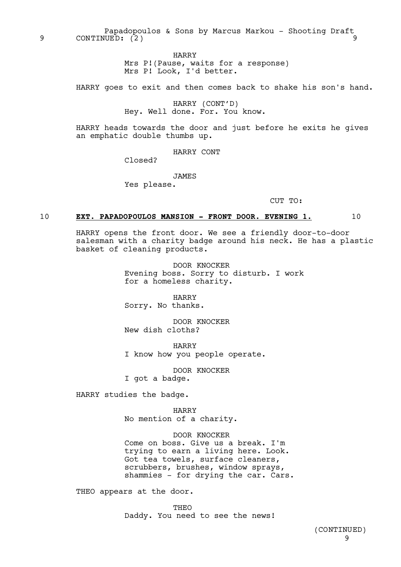Papadopoulos & Sons by Marcus Markou - Shooting Draft 9 CONTINUED: (2) 9

HARRY

Mrs P!(Pause, waits for a response) Mrs P! Look, I'd better.

HARRY goes to exit and then comes back to shake his son's hand.

HARRY (CONT'D) Hey. Well done. For. You know.

HARRY heads towards the door and just before he exits he gives an emphatic double thumbs up.

HARRY CONT

Closed?

**JAMES** 

Yes please.

CUT TO:

#### 10 **EXT. PAPADOPOULOS MANSION - FRONT DOOR. EVENING 1.** 10

HARRY opens the front door. We see a friendly door-to-door salesman with a charity badge around his neck. He has a plastic basket of cleaning products.

> DOOR KNOCKER Evening boss. Sorry to disturb. I work for a homeless charity.

HARRY Sorry. No thanks.

DOOR KNOCKER New dish cloths?

HARRY I know how you people operate.

DOOR KNOCKER I got a badge.

HARRY studies the badge.

HARRY No mention of a charity.

DOOR KNOCKER Come on boss. Give us a break. I'm trying to earn a living here. Look. Got tea towels, surface cleaners, scrubbers, brushes, window sprays, shammies - for drying the car. Cars.

THEO appears at the door.

**THEO** Daddy. You need to see the news!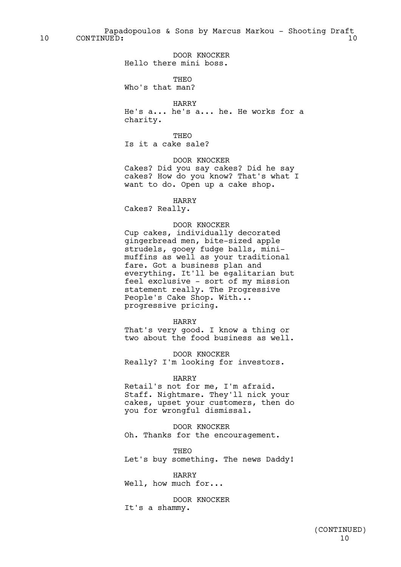Papadopoulos & Sons by Marcus Markou - Shooting Draft 10 CONTINUED: 10

> DOOR KNOCKER Hello there mini boss.

> > **THEO**

Who's that man?

HARRY

He's a... he's a... he. He works for a charity.

THEO

Is it a cake sale?

DOOR KNOCKER

Cakes? Did you say cakes? Did he say cakes? How do you know? That's what I want to do. Open up a cake shop.

HARRY Cakes? Really.

#### DOOR KNOCKER

Cup cakes, individually decorated gingerbread men, bite-sized apple strudels, gooey fudge balls, minimuffins as well as your traditional fare. Got a business plan and everything. It'll be egalitarian but feel exclusive - sort of my mission statement really. The Progressive People's Cake Shop. With... progressive pricing.

#### HARRY

That's very good. I know a thing or two about the food business as well.

DOOR KNOCKER Really? I'm looking for investors.

#### HARRY

Retail's not for me, I'm afraid. Staff. Nightmare. They'll nick your cakes, upset your customers, then do you for wrongful dismissal.

DOOR KNOCKER Oh. Thanks for the encouragement.

THEO Let's buy something. The news Daddy!

HARRY Well, how much for...

DOOR KNOCKER It's a shammy.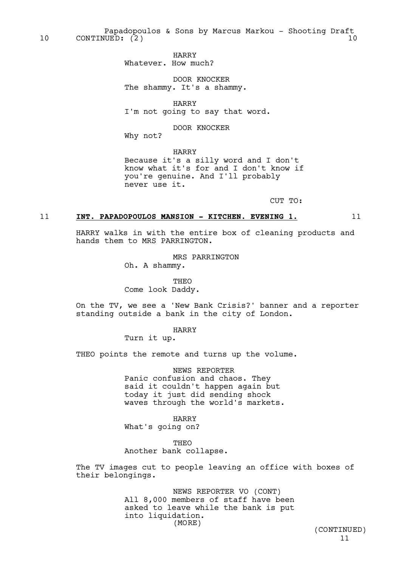Papadopoulos & Sons by Marcus Markou - Shooting Draft 10 CONTINUED: (2) 10

> HARRY Whatever. How much?

DOOR KNOCKER The shammy. It's a shammy.

HARRY I'm not going to say that word.

DOOR KNOCKER

Why not?

hands them to MRS PARRINGTON.

HARRY Because it's a silly word and I don't know what it's for and I don't know if you're genuine. And I'll probably never use it.

CUT TO:

#### 11 **INT. PAPADOPOULOS MANSION - KITCHEN. EVENING 1.** 11

HARRY walks in with the entire box of cleaning products and

MRS PARRINGTON Oh. A shammy.

THEO Come look Daddy.

On the TV, we see a 'New Bank Crisis?' banner and a reporter standing outside a bank in the city of London.

HARRY

Turn it up.

THEO points the remote and turns up the volume.

NEWS REPORTER Panic confusion and chaos. They said it couldn't happen again but today it just did sending shock waves through the world's markets.

HARRY

What's going on?

**THEO** 

Another bank collapse.

The TV images cut to people leaving an office with boxes of their belongings.

> NEWS REPORTER VO (CONT) All 8,000 members of staff have been asked to leave while the bank is put into liquidation. (MORE)

11 (CONTINUED)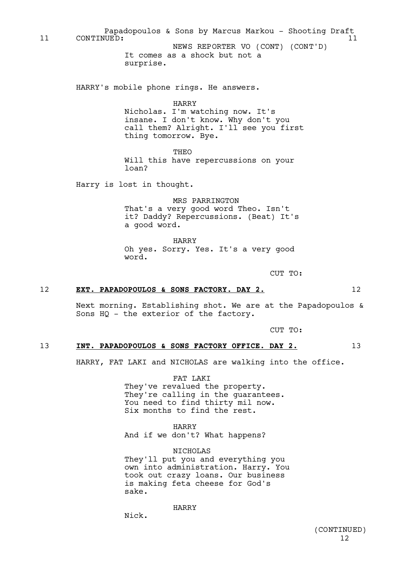It comes as a shock but not a surprise. HARRY's mobile phone rings. He answers. HARRY Nicholas. I'm watching now. It's insane. I don't know. Why don't you call them? Alright. I'll see you first thing tomorrow. Bye. THEO Will this have repercussions on your loan? Harry is lost in thought. MRS PARRINGTON That's a very good word Theo. Isn't it? Daddy? Repercussions. (Beat) It's a good word. HARRY Oh yes. Sorry. Yes. It's a very good word. CUT TO: 12 EXT. PAPADOPOULOS & SONS FACTORY. DAY 2. 12 Next morning. Establishing shot. We are at the Papadopoulos & Sons HQ - the exterior of the factory. 11 CONTINUED: 11 NEWS REPORTER VO (CONT) (CONT'D)

Papadopoulos & Sons by Marcus Markou - Shooting Draft

CUT TO:

#### 13 **INT. PAPADOPOULOS & SONS FACTORY OFFICE. DAY 2.** 13

HARRY, FAT LAKI and NICHOLAS are walking into the office.

FAT LAKI

They've revalued the property. They're calling in the guarantees. You need to find thirty mil now. Six months to find the rest.

HARRY And if we don't? What happens?

NICHOLAS They'll put you and everything you own into administration. Harry. You took out crazy loans. Our business is making feta cheese for God's sake.

HARRY

12 (CONTINUED)

## Nick.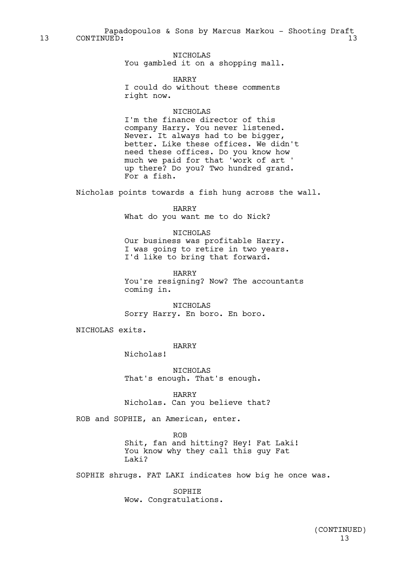Papadopoulos & Sons by Marcus Markou - Shooting Draft 13 CONTINUED: 13 13

> NICHOLAS You gambled it on a shopping mall.

HARRY I could do without these comments right now.

#### NICHOLAS

I'm the finance director of this company Harry. You never listened. Never. It always had to be bigger, better. Like these offices. We didn't need these offices. Do you know how much we paid for that 'work of art ' up there? Do you? Two hundred grand. For a fish.

Nicholas points towards a fish hung across the wall.

HARRY What do you want me to do Nick?

#### NICHOLAS

Our business was profitable Harry. I was going to retire in two years. I'd like to bring that forward.

HARRY

You're resigning? Now? The accountants coming in.

NICHOLAS Sorry Harry. En boro. En boro.

NICHOLAS exits.

HARRY

Nicholas!

NICHOLAS That's enough. That's enough.

HARRY Nicholas. Can you believe that?

ROB and SOPHIE, an American, enter.

ROB

Shit, fan and hitting? Hey! Fat Laki! You know why they call this guy Fat Laki?

SOPHIE shrugs. FAT LAKI indicates how big he once was.

**SOPHTE** Wow. Congratulations.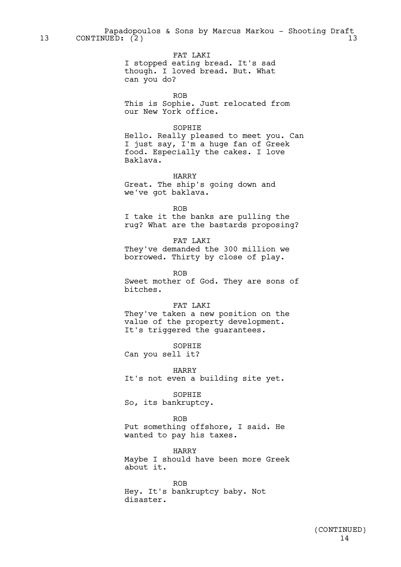Papadopoulos & Sons by Marcus Markou - Shooting Draft 13 CONTINUED: (2) 13

> FAT LAKI I stopped eating bread. It's sad though. I loved bread. But. What can you do?

> > ROB

This is Sophie. Just relocated from our New York office.

#### SOPHIE

Hello. Really pleased to meet you. Can I just say, I'm a huge fan of Greek food. Especially the cakes. I love Baklava.

HARRY

Great. The ship's going down and we've got baklava.

ROB

I take it the banks are pulling the rug? What are the bastards proposing?

FAT LAKI They've demanded the 300 million we borrowed. Thirty by close of play.

ROB

Sweet mother of God. They are sons of bitches.

## FAT LAKI

They've taken a new position on the value of the property development. It's triggered the guarantees.

SOPHIE

Can you sell it?

HARRY

It's not even a building site yet.

SOPHIE

So, its bankruptcy.

ROB

Put something offshore, I said. He wanted to pay his taxes.

HARRY Maybe I should have been more Greek about it.

ROB Hey. It's bankruptcy baby. Not disaster.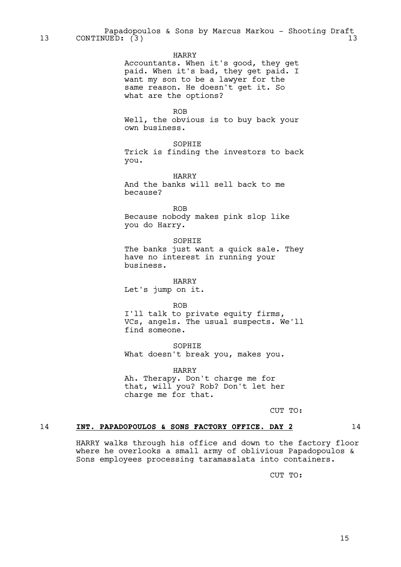#### HARRY

Accountants. When it's good, they get paid. When it's bad, they get paid. I want my son to be a lawyer for the same reason. He doesn't get it. So what are the options?

ROB

Well, the obvious is to buy back your own business.

SOPHIE Trick is finding the investors to back you.

HARRY

And the banks will sell back to me because?

ROB

Because nobody makes pink slop like you do Harry.

SOPHIE The banks just want a quick sale. They have no interest in running your business.

HARRY Let's jump on it.

ROB

I'll talk to private equity firms, VCs, angels. The usual suspects. We'll find someone.

SOPHIE What doesn't break you, makes you.

HARRY Ah. Therapy. Don't charge me for that, will you? Rob? Don't let her charge me for that.

CUT TO:

#### 14 **INT. PAPADOPOULOS & SONS FACTORY OFFICE. DAY 2** 14

HARRY walks through his office and down to the factory floor where he overlooks a small army of oblivious Papadopoulos & Sons employees processing taramasalata into containers.

CUT TO: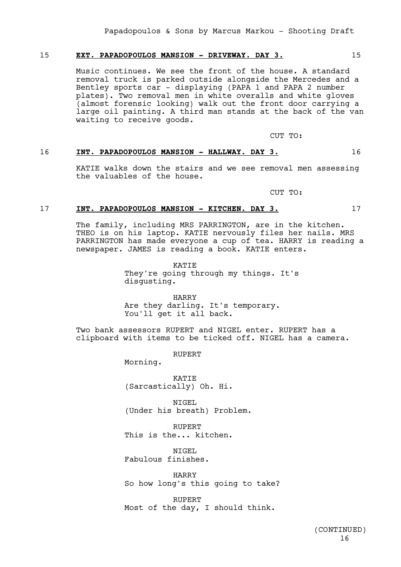#### 15 **EXT. PAPADOPOULOS MANSION - DRIVEWAY. DAY 3.** 15

Music continues. We see the front of the house. A standard removal truck is parked outside alongside the Mercedes and a Bentley sports car - displaying (PAPA 1 and PAPA 2 number plates). Two removal men in white overalls and white gloves (almost forensic looking) walk out the front door carrying a large oil painting. A third man stands at the back of the van waiting to receive goods.

CUT TO:

## 16 **INT. PAPADOPOULOS MANSION - HALLWAY. DAY 3.** 16

KATIE walks down the stairs and we see removal men assessing the valuables of the house.

CUT TO:

#### 17 **INT. PAPADOPOULOS MANSION - KITCHEN. DAY 3.** 17

The family, including MRS PARRINGTON, are in the kitchen. THEO is on his laptop. KATIE nervously files her nails. MRS PARRINGTON has made everyone a cup of tea. HARRY is reading a newspaper. JAMES is reading a book. KATIE enters.

> KATIE They're going through my things. It's disgusting.

HARRY Are they darling. It's temporary. You'll get it all back.

Two bank assessors RUPERT and NIGEL enter. RUPERT has a clipboard with items to be ticked off. NIGEL has a camera.

RUPERT

Morning.

KATIE (Sarcastically) Oh. Hi.

NIGEL (Under his breath) Problem.

RUPERT This is the... kitchen.

NTGEL. Fabulous finishes.

HARRY So how long's this going to take?

**RUPERT** Most of the day, I should think.

> 16 (CONTINUED)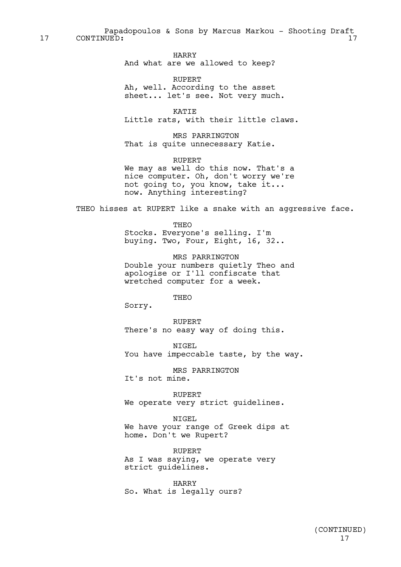Papadopoulos & Sons by Marcus Markou - Shooting Draft 17 CONTINUED: 17 17

> HARRY And what are we allowed to keep?

RUPERT Ah, well. According to the asset sheet... let's see. Not very much.

KATIE Little rats, with their little claws.

MRS PARRINGTON That is quite unnecessary Katie.

RUPERT We may as well do this now. That's a nice computer. Oh, don't worry we're not going to, you know, take it... now. Anything interesting?

THEO hisses at RUPERT like a snake with an aggressive face.

THEO Stocks. Everyone's selling. I'm buying. Two, Four, Eight, 16, 32..

MRS PARRINGTON Double your numbers quietly Theo and apologise or I'll confiscate that wretched computer for a week.

THEO

Sorry.

RUPERT There's no easy way of doing this.

NIGEL You have impeccable taste, by the way.

MRS PARRINGTON It's not mine.

RUPERT We operate very strict quidelines.

NIGEL We have your range of Greek dips at home. Don't we Rupert?

RUPERT As I was saying, we operate very strict guidelines.

HARRY So. What is legally ours?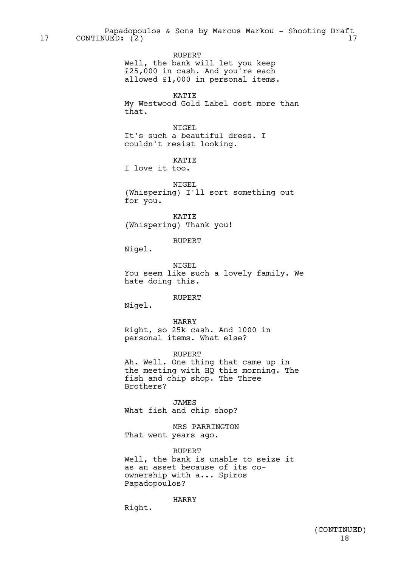Papadopoulos & Sons by Marcus Markou - Shooting Draft 17 CONTINUED: (2) 17

RUPERT

Well, the bank will let you keep £25,000 in cash. And you're each allowed £1,000 in personal items.

KATIE

My Westwood Gold Label cost more than that.

NIGEL It's such a beautiful dress. I couldn't resist looking.

KATIE

I love it too.

NIGEL (Whispering) I'll sort something out for you.

KATIE (Whispering) Thank you!

**RUPERT** 

Nigel.

NIGEL You seem like such a lovely family. We hate doing this.

RUPERT

Nigel.

HARRY Right, so 25k cash. And 1000 in personal items. What else?

RUPERT

Ah. Well. One thing that came up in the meeting with HQ this morning. The fish and chip shop. The Three Brothers?

JAMES What fish and chip shop?

MRS PARRINGTON That went years ago.

RUPERT Well, the bank is unable to seize it as an asset because of its coownership with a... Spiros Papadopoulos?

HARRY

Right.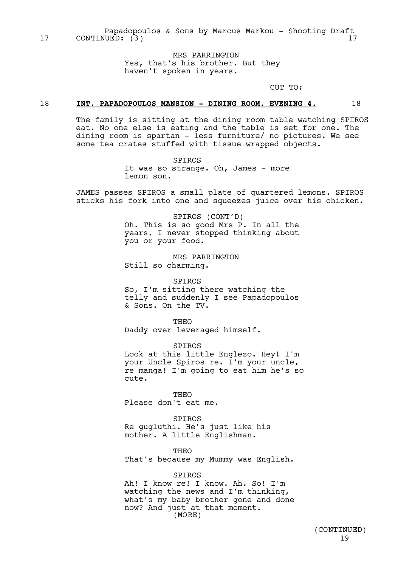Papadopoulos & Sons by Marcus Markou - Shooting Draft 17 CONTINUED: (3) 17

> MRS PARRINGTON Yes, that's his brother. But they haven't spoken in years.

> > CUT TO:

#### 18 **INT. PAPADOPOULOS MANSION - DINING ROOM. EVENING 4.** 18

The family is sitting at the dining room table watching SPIROS eat. No one else is eating and the table is set for one. The dining room is spartan - less furniture/ no pictures. We see some tea crates stuffed with tissue wrapped objects.

> SPIROS It was so strange. Oh, James - more lemon son.

JAMES passes SPIROS a small plate of quartered lemons. SPIROS sticks his fork into one and squeezes juice over his chicken.

> SPIROS (CONT'D) Oh. This is so good Mrs P. In all the years, I never stopped thinking about you or your food.

MRS PARRINGTON Still so charming.

SPIROS So, I'm sitting there watching the telly and suddenly I see Papadopoulos & Sons. On the TV.

**THEO** Daddy over leveraged himself.

SPIROS Look at this little Englezo. Hey! I'm your Uncle Spiros re. I'm your uncle, re manga! I'm going to eat him he's so cute.

THEO Please don't eat me.

SPIROS Re gugluthi. He's just like his mother. A little Englishman.

THEO That's because my Mummy was English.

SPIROS Ah! I know re! I know. Ah. So! I'm watching the news and I'm thinking, what's my baby brother gone and done now? And just at that moment. (MORE)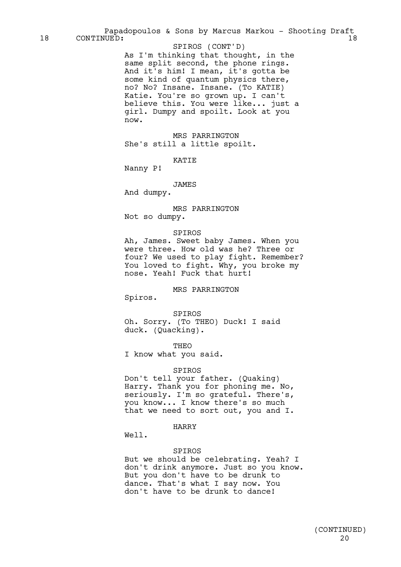As I'm thinking that thought, in the same split second, the phone rings. And it's him! I mean, it's gotta be some kind of quantum physics there, no? No? Insane. Insane. (To KATIE) Katie. You're so grown up. I can't believe this. You were like... just a girl. Dumpy and spoilt. Look at you now. SPIROS (CONT'D)

MRS PARRINGTON She's still a little spoilt.

KATIE

Nanny P!

JAMES

And dumpy.

MRS PARRINGTON Not so dumpy.

#### SPIROS

Ah, James. Sweet baby James. When you were three. How old was he? Three or four? We used to play fight. Remember? You loved to fight. Why, you broke my nose. Yeah! Fuck that hurt!

#### MRS PARRINGTON

Spiros.

SPIROS Oh. Sorry. (To THEO) Duck! I said duck. (Quacking).

THEO

I know what you said.

#### SPIROS

Don't tell your father. (Quaking) Harry. Thank you for phoning me. No, seriously. I'm so grateful. There's, you know... I know there's so much that we need to sort out, you and I.

#### HARRY

Well.

#### SPIROS

But we should be celebrating. Yeah? I don't drink anymore. Just so you know. But you don't have to be drunk to dance. That's what I say now. You don't have to be drunk to dance!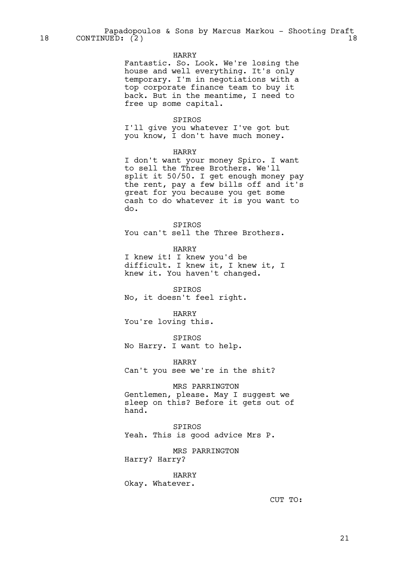#### HARRY

Fantastic. So. Look. We're losing the house and well everything. It's only temporary. I'm in negotiations with a top corporate finance team to buy it back. But in the meantime, I need to free up some capital.

#### SPIROS

I'll give you whatever I've got but you know, I don't have much money.

#### HARRY

I don't want your money Spiro. I want to sell the Three Brothers. We'll split it 50/50. I get enough money pay the rent, pay a few bills off and it's great for you because you get some cash to do whatever it is you want to do.

SPIROS You can't sell the Three Brothers.

HARRY

I knew it! I knew you'd be difficult. I knew it, I knew it, I knew it. You haven't changed.

SPIROS No, it doesn't feel right.

HARRY You're loving this.

SPIROS No Harry. I want to help.

HARRY Can't you see we're in the shit?

MRS PARRINGTON

Gentlemen, please. May I suggest we sleep on this? Before it gets out of hand.

#### SPIROS

Yeah. This is good advice Mrs P.

MRS PARRINGTON Harry? Harry?

HARRY Okay. Whatever.

CUT TO: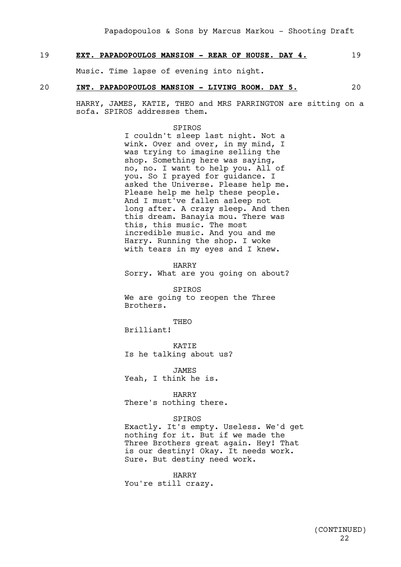#### 19 **EXT. PAPADOPOULOS MANSION - REAR OF HOUSE. DAY 4.** 19

Music. Time lapse of evening into night.

#### 20 **INT. PAPADOPOULOS MANSION - LIVING ROOM. DAY 5.** 20

HARRY, JAMES, KATIE, THEO and MRS PARRINGTON are sitting on a sofa. SPIROS addresses them.

#### SPIROS

I couldn't sleep last night. Not a wink. Over and over, in my mind, I was trying to imagine selling the shop. Something here was saying, no, no. I want to help you. All of you. So I prayed for guidance. I asked the Universe. Please help me. Please help me help these people. And I must've fallen asleep not long after. A crazy sleep. And then this dream. Banayia mou. There was this, this music. The most incredible music. And you and me Harry. Running the shop. I woke with tears in my eyes and I knew.

HARRY Sorry. What are you going on about?

SPIROS We are going to reopen the Three Brothers.

**THEO** 

Brilliant!

KATIE Is he talking about us?

JAMES Yeah, I think he is.

HARRY There's nothing there.

#### SPIROS

Exactly. It's empty. Useless. We'd get nothing for it. But if we made the Three Brothers great again. Hey! That is our destiny! Okay. It needs work. Sure. But destiny need work.

HARRY You're still crazy.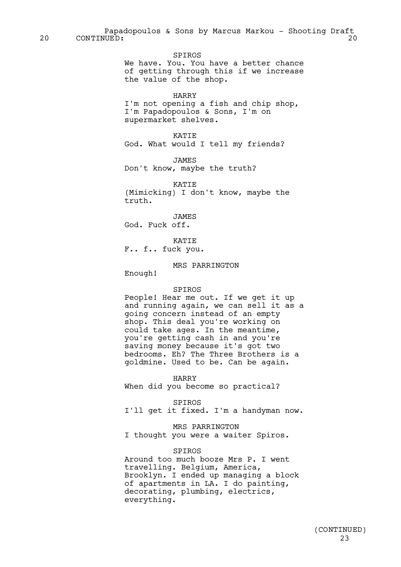SPIROS We have. You. You have a better chance of getting through this if we increase the value of the shop.

#### HARRY

I'm not opening a fish and chip shop, I'm Papadopoulos & Sons, I'm on supermarket shelves.

#### KATIE

God. What would I tell my friends?

JAMES

Don't know, maybe the truth?

KATIE (Mimicking) I don't know, maybe the truth.

JAMES God. Fuck off.

**KATTE** F.. f.. fuck you.

MRS PARRINGTON

Enough!

#### SPIROS

People! Hear me out. If we get it up and running again, we can sell it as a going concern instead of an empty shop. This deal you're working on could take ages. In the meantime, you're getting cash in and you're saving money because it's got two bedrooms. Eh? The Three Brothers is a goldmine. Used to be. Can be again.

HARRY

When did you become so practical?

SPIROS

I'll get it fixed. I'm a handyman now.

MRS PARRINGTON

I thought you were a waiter Spiros.

#### SPIROS

Around too much booze Mrs P. I went travelling. Belgium, America, Brooklyn. I ended up managing a block of apartments in LA. I do painting, decorating, plumbing, electrics, everything.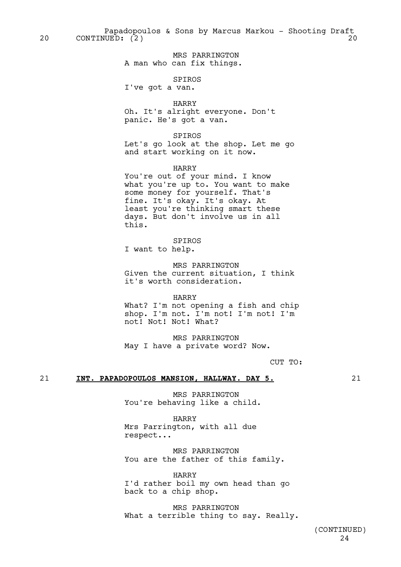Papadopoulos & Sons by Marcus Markou - Shooting Draft 20 CONTINUED: (2) 20

> MRS PARRINGTON A man who can fix things.

### SPIROS

I've got a van.

#### HARRY

Oh. It's alright everyone. Don't panic. He's got a van.

#### SPIROS

Let's go look at the shop. Let me go and start working on it now.

HARRY

You're out of your mind. I know what you're up to. You want to make some money for yourself. That's fine. It's okay. It's okay. At least you're thinking smart these days. But don't involve us in all this.

## SPIROS

I want to help.

MRS PARRINGTON Given the current situation, I think it's worth consideration.

#### HARRY

What? I'm not opening a fish and chip shop. I'm not. I'm not! I'm not! I'm not! Not! Not! What?

MRS PARRINGTON May I have a private word? Now.

CUT TO:

#### 21 **INT. PAPADOPOULOS MANSION, HALLWAY. DAY 5.** 21

MRS PARRINGTON You're behaving like a child.

HARRY Mrs Parrington, with all due respect...

MRS PARRINGTON You are the father of this family.

HARRY I'd rather boil my own head than go back to a chip shop.

MRS PARRINGTON What a terrible thing to say. Really.

> 24 (CONTINUED)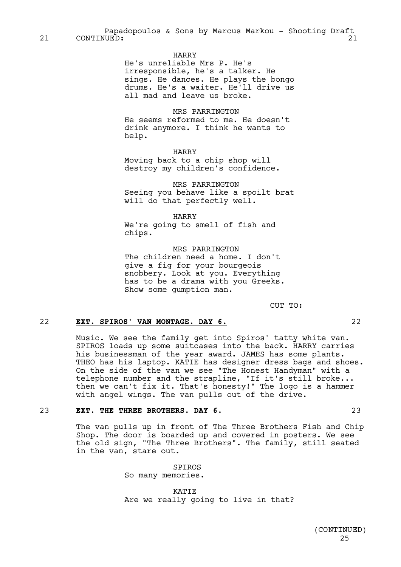Papadopoulos & Sons by Marcus Markou - Shooting Draft 21 CONTINUED: 21

#### HARRY

He's unreliable Mrs P. He's irresponsible, he's a talker. He sings. He dances. He plays the bongo drums. He's a waiter. He'll drive us all mad and leave us broke.

MRS PARRINGTON He seems reformed to me. He doesn't drink anymore. I think he wants to help.

HARRY

Moving back to a chip shop will destroy my children's confidence.

MRS PARRINGTON Seeing you behave like a spoilt brat will do that perfectly well.

HARRY

We're going to smell of fish and chips.

MRS PARRINGTON The children need a home. I don't give a fig for your bourgeois snobbery. Look at you. Everything has to be a drama with you Greeks. Show some gumption man.

CUT TO:

## 22 **EXT. SPIROS' VAN MONTAGE. DAY 6.** 22

Music. We see the family get into Spiros' tatty white van. SPIROS loads up some suitcases into the back. HARRY carries his businessman of the year award. JAMES has some plants. THEO has his laptop. KATIE has designer dress bags and shoes. On the side of the van we see "The Honest Handyman" with a telephone number and the strapline, "If it's still broke... then we can't fix it. That's honesty!" The logo is a hammer with angel wings. The van pulls out of the drive.

## 23 **EXT. THE THREE BROTHERS. DAY 6.** 23

The van pulls up in front of The Three Brothers Fish and Chip Shop. The door is boarded up and covered in posters. We see the old sign, "The Three Brothers". The family, still seated in the van, stare out.

> SPIROS So many memories.

**KATTE** Are we really going to live in that?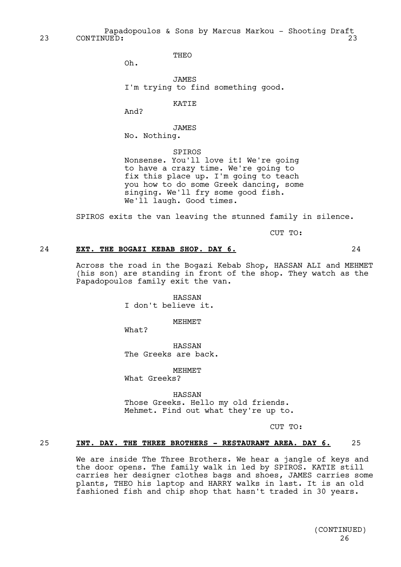Papadopoulos & Sons by Marcus Markou - Shooting Draft 23 CONTINUED: 23 23

THEO

Oh.

JAMES I'm trying to find something good.

KATIE

And?

JAMES No. Nothing.

SPIROS Nonsense. You'll love it! We're going to have a crazy time. We're going to fix this place up. I'm going to teach you how to do some Greek dancing, some singing. We'll fry some good fish. We'll laugh. Good times.

SPIROS exits the van leaving the stunned family in silence.

CUT TO:

## 24 **EXT. THE BOGAZI KEBAB SHOP. DAY 6.** 24

Across the road in the Bogazi Kebab Shop, HASSAN ALI and MEHMET (his son) are standing in front of the shop. They watch as the Papadopoulos family exit the van.

> HASSAN I don't believe it.

> > **MEHMET**

What?

HASSAN The Greeks are back.

MEHMET What Greeks?

HASSAN Those Greeks. Hello my old friends. Mehmet. Find out what they're up to.

CUT TO:

#### 25 **INT. DAY. THE THREE BROTHERS - RESTAURANT AREA. DAY 6.** 25

We are inside The Three Brothers. We hear a jangle of keys and the door opens. The family walk in led by SPIROS. KATIE still carries her designer clothes bags and shoes, JAMES carries some plants, THEO his laptop and HARRY walks in last. It is an old fashioned fish and chip shop that hasn't traded in 30 years.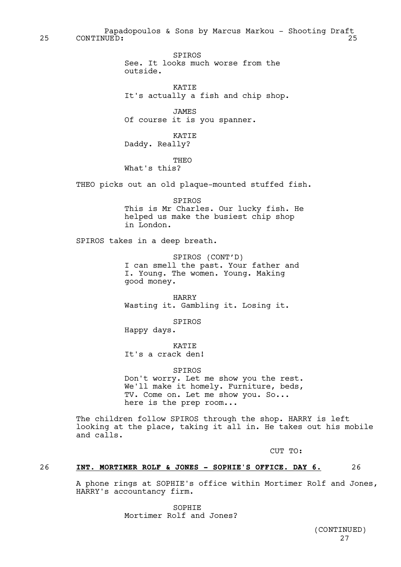Papadopoulos & Sons by Marcus Markou - Shooting Draft 25 CONTINUED: 25

> SPIROS See. It looks much worse from the outside.

**KATTE** It's actually a fish and chip shop.

JAMES Of course it is you spanner.

KATIE Daddy. Really?

THEO

What's this?

THEO picks out an old plaque-mounted stuffed fish.

SPIROS This is Mr Charles. Our lucky fish. He helped us make the busiest chip shop in London.

SPIROS takes in a deep breath.

SPIROS (CONT'D) I can smell the past. Your father and I. Young. The women. Young. Making good money.

HARRY Wasting it. Gambling it. Losing it.

SPIROS

Happy days.

KATIE It's a crack den!

SPIROS Don't worry. Let me show you the rest. We'll make it homely. Furniture, beds, TV. Come on. Let me show you. So... here is the prep room...

The children follow SPIROS through the shop. HARRY is left looking at the place, taking it all in. He takes out his mobile and calls.

CUT TO:

## 26 **INT. MORTIMER ROLF & JONES - SOPHIE'S OFFICE. DAY 6.** 26

A phone rings at SOPHIE's office within Mortimer Rolf and Jones, HARRY's accountancy firm.

> **SOPHTE** Mortimer Rolf and Jones?

> > 27 (CONTINUED)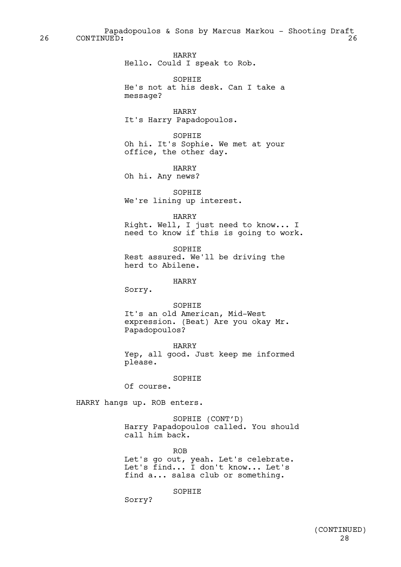Papadopoulos & Sons by Marcus Markou - Shooting Draft 26 CONTINUED: 26

> HARRY Hello. Could I speak to Rob.

SOPHIE He's not at his desk. Can I take a message?

HARRY It's Harry Papadopoulos.

SOPHIE Oh hi. It's Sophie. We met at your office, the other day.

HARRY Oh hi. Any news?

SOPHIE We're lining up interest.

HARRY Right. Well, I just need to know... I need to know if this is going to work.

SOPHIE Rest assured. We'll be driving the herd to Abilene.

HARRY

Sorry.

SOPHIE It's an old American, Mid-West expression. (Beat) Are you okay Mr. Papadopoulos?

HARRY Yep, all good. Just keep me informed please.

SOPHIE

Of course.

HARRY hangs up. ROB enters.

SOPHIE (CONT'D) Harry Papadopoulos called. You should call him back.

ROB Let's go out, yeah. Let's celebrate. Let's find... I don't know... Let's find a... salsa club or something.

**SOPHIE** 

Sorry?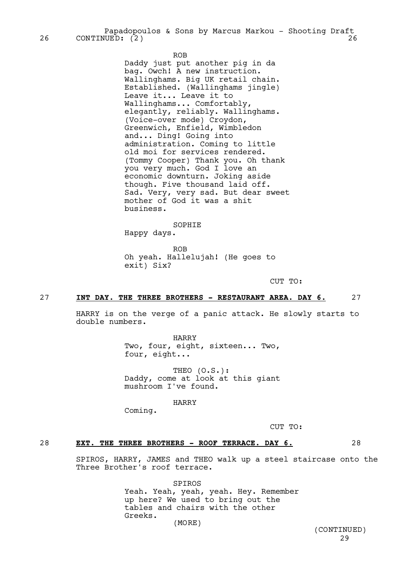Papadopoulos & Sons by Marcus Markou - Shooting Draft 26 CONTINUED: (2) 26

ROB

Daddy just put another pig in da bag. Owch! A new instruction. Wallinghams. Big UK retail chain. Established. (Wallinghams jingle) Leave it... Leave it to Wallinghams... Comfortably, elegantly, reliably. Wallinghams. (Voice-over mode) Croydon, Greenwich, Enfield, Wimbledon and... Ding! Going into administration. Coming to little old moi for services rendered. (Tommy Cooper) Thank you. Oh thank you very much. God I love an economic downturn. Joking aside though. Five thousand laid off. Sad. Very, very sad. But dear sweet mother of God it was a shit business.

SOPHIE Happy days.

ROB Oh yeah. Hallelujah! (He goes to exit) Six?

CUT TO:

#### 27 **INT DAY. THE THREE BROTHERS - RESTAURANT AREA. DAY 6.** 27

HARRY is on the verge of a panic attack. He slowly starts to double numbers.

> HARRY Two, four, eight, sixteen... Two, four, eight...

> THEO (O.S.): Daddy, come at look at this giant mushroom I've found.

> > HARRY

Coming.

CUT TO:

#### 28 **EXT. THE THREE BROTHERS - ROOF TERRACE. DAY 6.** 28

SPIROS, HARRY, JAMES and THEO walk up a steel staircase onto the Three Brother's roof terrace.

> SPIROS Yeah. Yeah, yeah, yeah. Hey. Remember up here? We used to bring out the tables and chairs with the other Greeks. (MORE)

29 (CONTINUED)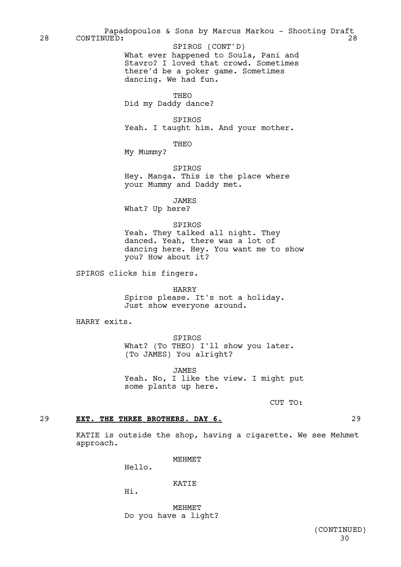What ever happened to Soula, Pani and Stavro? I loved that crowd. Sometimes there'd be a poker game. Sometimes dancing. We had fun. THEO Did my Daddy dance? SPIROS Yeah. I taught him. And your mother. THEO My Mummy? SPIROS Hey. Manga. This is the place where your Mummy and Daddy met. JAMES What? Up here? SPIROS Yeah. They talked all night. They danced. Yeah, there was a lot of dancing here. Hey. You want me to show you? How about it? SPIROS clicks his fingers. HARRY Spiros please. It's not a holiday. Just show everyone around. HARRY exits. SPIROS What? (To THEO) I'll show you later. (To JAMES) You alright? JAMES Yeah. No, I like the view. I might put some plants up here. CUT TO: Papadopoulos & Sons by Marcus Markou - Shooting Draft 28 CONTINUED: 28 SPIROS (CONT'D)

## 29 **EXT. THE THREE BROTHERS. DAY 6.** 29

KATIE is outside the shop, having a cigarette. We see Mehmet approach.

MEHMET

Hello.

**KATTE** 

Hi.

**MEHMET** Do you have a light?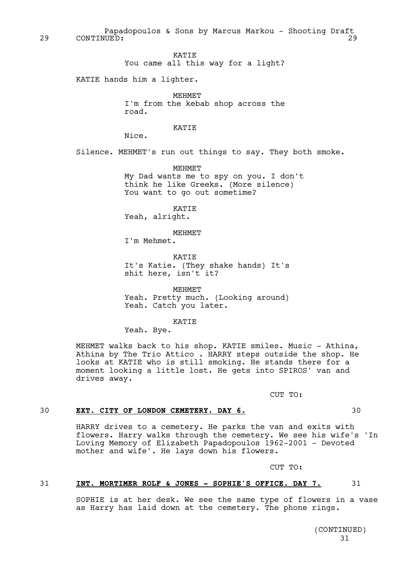Papadopoulos & Sons by Marcus Markou - Shooting Draft 29 CONTINUED: 29

> KATIE You came all this way for a light?

KATIE hands him a lighter.

MEHMET I'm from the kebab shop across the road.

## KATIE

Nice.

Silence. MEHMET's run out things to say. They both smoke.

MEHMET My Dad wants me to spy on you. I don't think he like Greeks. (More silence) You want to go out sometime?

KATIE Yeah, alright.

MEHMET

I'm Mehmet.

KATIE It's Katie. (They shake hands) It's shit here, isn't it?

MEHMET Yeah. Pretty much. (Looking around) Yeah. Catch you later.

#### **KATTE**

Yeah. Bye.

MEHMET walks back to his shop. KATIE smiles. Music - Athina, Athina by The Trio Attico . HARRY steps outside the shop. He looks at KATIE who is still smoking. He stands there for a moment looking a little lost. He gets into SPIROS' van and drives away.

CUT TO:

## 30 **EXT. CITY OF LONDON CEMETERY. DAY 6.** 30

HARRY drives to a cemetery. He parks the van and exits with flowers. Harry walks through the cemetery. We see his wife's 'In Loving Memory of Elizabeth Papadopoulos 1962-2001 - Devoted mother and wife'. He lays down his flowers.

CUT TO:

#### 31 **INT. MORTIMER ROLF & JONES - SOPHIE'S OFFICE. DAY 7.** 31

SOPHIE is at her desk. We see the same type of flowers in a vase as Harry has laid down at the cemetery. The phone rings.

> 31 (CONTINUED)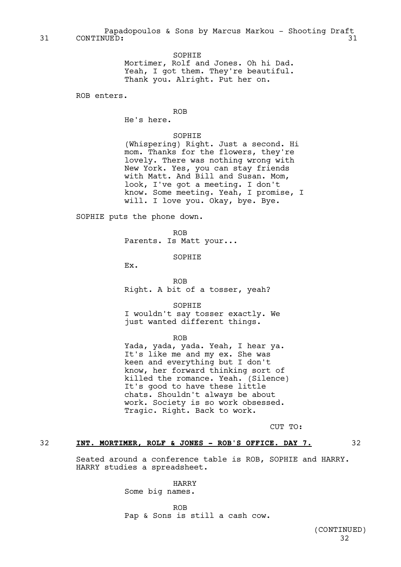SOPHIE Mortimer, Rolf and Jones. Oh hi Dad. Yeah, I got them. They're beautiful. Thank you. Alright. Put her on.

ROB enters.

#### ROB

He's here.

#### SOPHIE

(Whispering) Right. Just a second. Hi mom. Thanks for the flowers, they're lovely. There was nothing wrong with New York. Yes, you can stay friends with Matt. And Bill and Susan. Mom, look, I've got a meeting. I don't know. Some meeting. Yeah, I promise, I will. I love you. Okay, bye. Bye.

SOPHIE puts the phone down.

ROB

Parents. Is Matt your...

SOPHIE

Ex.

ROB Right. A bit of a tosser, yeah?

SOPHIE I wouldn't say tosser exactly. We just wanted different things.

ROB

Yada, yada, yada. Yeah, I hear ya. It's like me and my ex. She was keen and everything but I don't know, her forward thinking sort of killed the romance. Yeah. (Silence) It's good to have these little chats. Shouldn't always be about work. Society is so work obsessed. Tragic. Right. Back to work.

CUT TO:

#### 32 **INT. MORTIMER, ROLF & JONES - ROB'S OFFICE. DAY 7.** 32

Seated around a conference table is ROB, SOPHIE and HARRY. HARRY studies a spreadsheet.

> HARRY Some big names.

ROB Pap & Sons is still a cash cow.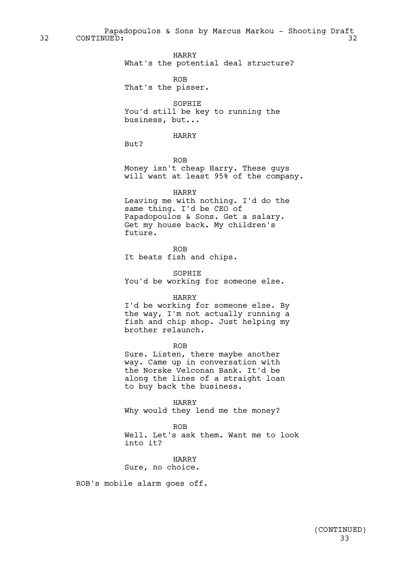Papadopoulos & Sons by Marcus Markou - Shooting Draft<br>UUED: 32 32 CONTINUED: 32

HARRY

What's the potential deal structure?

ROB

That's the pisser.

SOPHIE You'd still be key to running the business, but...

#### HARRY

But?

ROB Money isn't cheap Harry. These guys will want at least 95% of the company.

#### HARRY

Leaving me with nothing. I'd do the same thing. I'd be CEO of Papadopoulos & Sons. Get a salary. Get my house back. My children's future.

ROB It beats fish and chips.

SOPHIE You'd be working for someone else.

#### HARRY

I'd be working for someone else. By the way, I'm not actually running a fish and chip shop. Just helping my brother relaunch.

ROB

Sure. Listen, there maybe another way. Came up in conversation with the Norske Velconan Bank. It'd be along the lines of a straight loan to buy back the business.

HARRY Why would they lend me the money?

ROB

Well. Let's ask them. Want me to look into it?

HARRY Sure, no choice.

ROB's mobile alarm goes off.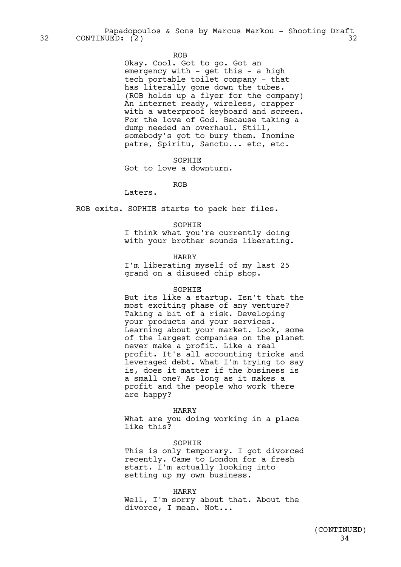Papadopoulos & Sons by Marcus Markou - Shooting Draft 32 CONTINUED: (2) 32

#### ROB

Okay. Cool. Got to go. Got an emergency with - get this - a high tech portable toilet company - that has literally gone down the tubes. (ROB holds up a flyer for the company) An internet ready, wireless, crapper with a waterproof keyboard and screen. For the love of God. Because taking a dump needed an overhaul. Still, somebody's got to bury them. Inomine patre, Spiritu, Sanctu... etc, etc.

SOPHIE

Got to love a downturn.

ROB

Laters.

ROB exits. SOPHIE starts to pack her files.

#### SOPHIE

I think what you're currently doing with your brother sounds liberating.

#### HARRY

I'm liberating myself of my last 25 grand on a disused chip shop.

#### SOPHIE

But its like a startup. Isn't that the most exciting phase of any venture? Taking a bit of a risk. Developing your products and your services. Learning about your market. Look, some of the largest companies on the planet never make a profit. Like a real profit. It's all accounting tricks and leveraged debt. What I'm trying to say is, does it matter if the business is a small one? As long as it makes a profit and the people who work there are happy?

#### HARRY

What are you doing working in a place like this?

#### **SOPHIE**

This is only temporary. I got divorced recently. Came to London for a fresh start. I'm actually looking into setting up my own business.

#### HARRY

Well, I'm sorry about that. About the divorce, I mean. Not...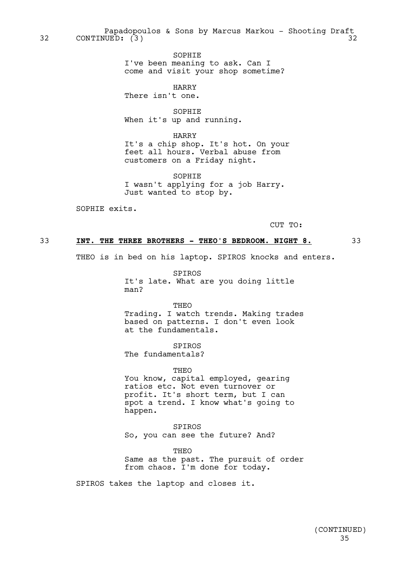Papadopoulos & Sons by Marcus Markou - Shooting Draft 32 CONTINUED: (3) 32

> SOPHIE I've been meaning to ask. Can I come and visit your shop sometime?

HARRY There isn't one.

SOPHIE When it's up and running.

HARRY It's a chip shop. It's hot. On your feet all hours. Verbal abuse from customers on a Friday night.

SOPHIE I wasn't applying for a job Harry. Just wanted to stop by.

SOPHIE exits.

CUT TO:

#### 33 **INT. THE THREE BROTHERS - THEO'S BEDROOM. NIGHT 8.** 33

THEO is in bed on his laptop. SPIROS knocks and enters.

SPIROS It's late. What are you doing little man?

THEO Trading. I watch trends. Making trades

based on patterns. I don't even look at the fundamentals.

SPIROS The fundamentals?

THEO You know, capital employed, gearing ratios etc. Not even turnover or profit. It's short term, but I can spot a trend. I know what's going to happen.

SPIROS So, you can see the future? And?

THEO Same as the past. The pursuit of order from chaos. I'm done for today.

SPIROS takes the laptop and closes it.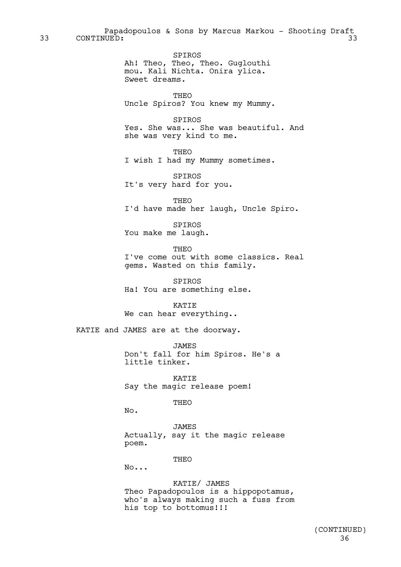Papadopoulos & Sons by Marcus Markou - Shooting Draft<br>UUED: 33 33 CONTINUED: 33

> SPIROS Ah! Theo, Theo, Theo. Guglouthi mou. Kali Nichta. Onira ylica. Sweet dreams.

THEO Uncle Spiros? You knew my Mummy.

SPIROS Yes. She was... She was beautiful. And she was very kind to me.

THEO I wish I had my Mummy sometimes.

SPIROS It's very hard for you.

THEO I'd have made her laugh, Uncle Spiro.

SPIROS You make me laugh.

THEO I've come out with some classics. Real gems. Wasted on this family.

SPIROS Ha! You are something else.

KATIE We can hear everything..

KATIE and JAMES are at the doorway.

JAMES Don't fall for him Spiros. He's a little tinker.

KATIE Say the magic release poem!

THEO

No.

JAMES Actually, say it the magic release poem.

THEO

No...

KATIE/ JAMES Theo Papadopoulos is a hippopotamus, who's always making such a fuss from his top to bottomus!!!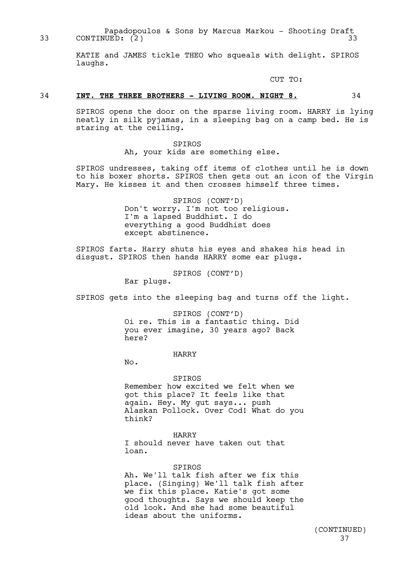Papadopoulos & Sons by Marcus Markou - Shooting Draft 33 CONTINUED: (2) 33

> KATIE and JAMES tickle THEO who squeals with delight. SPIROS laughs.

> > CUT TO:

# 34 **INT. THE THREE BROTHERS - LIVING ROOM. NIGHT 8.** 34

SPIROS opens the door on the sparse living room. HARRY is lying neatly in silk pyjamas, in a sleeping bag on a camp bed. He is staring at the ceiling.

> SPIROS Ah, your kids are something else.

SPIROS undresses, taking off items of clothes until he is down to his boxer shorts. SPIROS then gets out an icon of the Virgin Mary. He kisses it and then crosses himself three times.

> SPIROS (CONT'D) Don't worry. I'm not too religious. I'm a lapsed Buddhist. I do everything a good Buddhist does except abstinence.

SPIROS farts. Harry shuts his eyes and shakes his head in disgust. SPIROS then hands HARRY some ear plugs.

SPIROS (CONT'D)

Ear plugs.

SPIROS gets into the sleeping bag and turns off the light.

SPIROS (CONT'D) Oi re. This is a fantastic thing. Did you ever imagine, 30 years ago? Back here?

HARRY

No.

#### SPIROS

Remember how excited we felt when we got this place? It feels like that again. Hey. My gut says... push Alaskan Pollock. Over Cod! What do you think?

#### HARRY

I should never have taken out that loan.

# SPIROS

Ah. We'll talk fish after we fix this place. (Singing) We'll talk fish after we fix this place. Katie's got some good thoughts. Says we should keep the old look. And she had some beautiful ideas about the uniforms.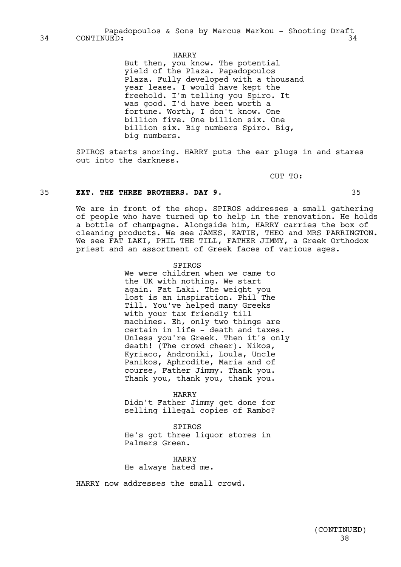## HARRY

But then, you know. The potential yield of the Plaza. Papadopoulos Plaza. Fully developed with a thousand year lease. I would have kept the freehold. I'm telling you Spiro. It was good. I'd have been worth a fortune. Worth, I don't know. One billion five. One billion six. One billion six. Big numbers Spiro. Big, big numbers.

SPIROS starts snoring. HARRY puts the ear plugs in and stares out into the darkness.

CUT TO:

## 35 **EXT. THE THREE BROTHERS. DAY 9.** 35

We are in front of the shop. SPIROS addresses a small gathering of people who have turned up to help in the renovation. He holds a bottle of champagne. Alongside him, HARRY carries the box of cleaning products. We see JAMES, KATIE, THEO and MRS PARRINGTON. We see FAT LAKI, PHIL THE TILL, FATHER JIMMY, a Greek Orthodox priest and an assortment of Greek faces of various ages.

## SPIROS

We were children when we came to the UK with nothing. We start again. Fat Laki. The weight you lost is an inspiration. Phil The Till. You've helped many Greeks with your tax friendly till machines. Eh, only two things are certain in life - death and taxes. Unless you're Greek. Then it's only death! (The crowd cheer). Nikos, Kyriaco, Androniki, Loula, Uncle Panikos, Aphrodite, Maria and of course, Father Jimmy. Thank you. Thank you, thank you, thank you.

#### HARRY

Didn't Father Jimmy get done for selling illegal copies of Rambo?

SPIROS He's got three liquor stores in Palmers Green.

HARRY He always hated me.

HARRY now addresses the small crowd.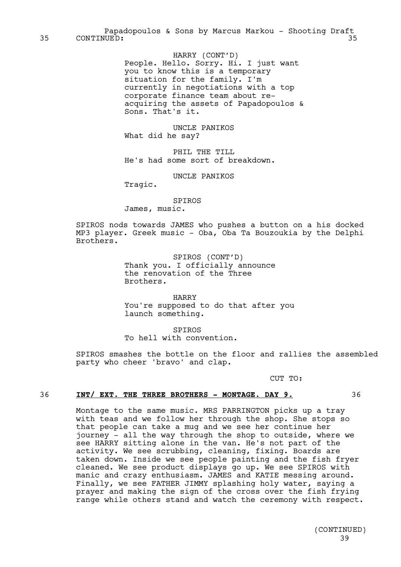HARRY (CONT'D) People. Hello. Sorry. Hi. I just want you to know this is a temporary situation for the family. I'm currently in negotiations with a top corporate finance team about reacquiring the assets of Papadopoulos & Sons. That's it.

UNCLE PANIKOS What did he say?

PHIL THE TILL He's had some sort of breakdown.

UNCLE PANIKOS

Tragic.

SPIROS James, music.

SPIROS nods towards JAMES who pushes a button on a his docked MP3 player. Greek music - Oba, Oba Ta Bouzoukia by the Delphi Brothers.

> SPIROS (CONT'D) Thank you. I officially announce the renovation of the Three Brothers.

HARRY You're supposed to do that after you launch something.

SPIROS To hell with convention.

SPIROS smashes the bottle on the floor and rallies the assembled party who cheer 'bravo' and clap.

CUT TO:

# 36 **INT/ EXT. THE THREE BROTHERS - MONTAGE. DAY 9.** 36

Montage to the same music. MRS PARRINGTON picks up a tray with teas and we follow her through the shop. She stops so that people can take a mug and we see her continue her journey - all the way through the shop to outside, where we see HARRY sitting alone in the van. He's not part of the activity. We see scrubbing, cleaning, fixing. Boards are taken down. Inside we see people painting and the fish fryer cleaned. We see product displays go up. We see SPIROS with manic and crazy enthusiasm. JAMES and KATIE messing around. Finally, we see FATHER JIMMY splashing holy water, saying a prayer and making the sign of the cross over the fish frying range while others stand and watch the ceremony with respect.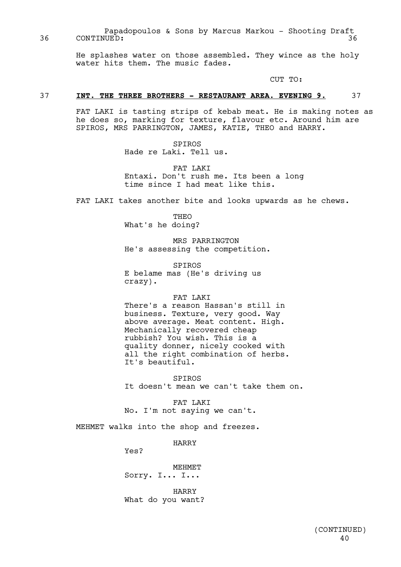Papadopoulos & Sons by Marcus Markou - Shooting Draft 36 CONTINUED: 36

> He splashes water on those assembled. They wince as the holy water hits them. The music fades.

> > CUT TO:

# 37 **INT. THE THREE BROTHERS - RESTAURANT AREA. EVENING 9.** 37

FAT LAKI is tasting strips of kebab meat. He is making notes as he does so, marking for texture, flavour etc. Around him are SPIROS, MRS PARRINGTON, JAMES, KATIE, THEO and HARRY.

> SPIROS Hade re Laki. Tell us.

FAT LAKI Entaxi. Don't rush me. Its been a long time since I had meat like this.

FAT LAKI takes another bite and looks upwards as he chews.

THEO What's he doing?

MRS PARRINGTON He's assessing the competition.

SPIROS E belame mas (He's driving us crazy).

## FAT LAKI

There's a reason Hassan's still in business. Texture, very good. Way above average. Meat content. High. Mechanically recovered cheap rubbish? You wish. This is a quality donner, nicely cooked with all the right combination of herbs. It's beautiful.

SPIROS It doesn't mean we can't take them on.

FAT LAKI No. I'm not saying we can't.

MEHMET walks into the shop and freezes.

HARRY

Yes?

MEHMET Sorry. I... I...

HARRY What do you want?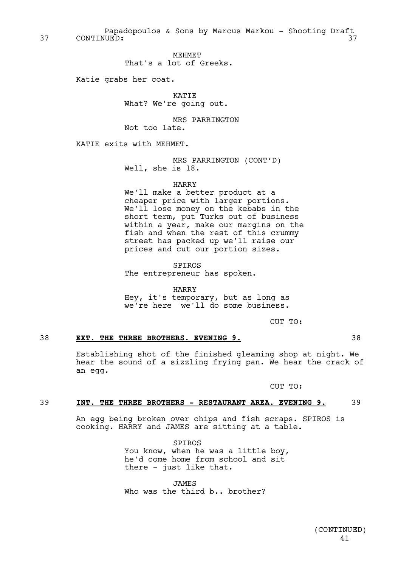Papadopoulos & Sons by Marcus Markou - Shooting Draft 37 CONTINUED: 37

> MEHMET That's a lot of Greeks.

Katie grabs her coat.

KATIE What? We're going out.

MRS PARRINGTON Not too late.

KATIE exits with MEHMET.

MRS PARRINGTON (CONT'D) Well, she is 18.

HARRY

We'll make a better product at a cheaper price with larger portions. We'll lose money on the kebabs in the short term, put Turks out of business within a year, make our margins on the fish and when the rest of this crummy street has packed up we'll raise our prices and cut our portion sizes.

SPIROS The entrepreneur has spoken.

HARRY Hey, it's temporary, but as long as we're here we'll do some business.

CUT TO:

# 38 **EXT. THE THREE BROTHERS. EVENING 9.** 38

Establishing shot of the finished gleaming shop at night. We hear the sound of a sizzling frying pan. We hear the crack of an egg.

CUT TO:

## 39 **INT. THE THREE BROTHERS - RESTAURANT AREA. EVENING 9.** 39

An egg being broken over chips and fish scraps. SPIROS is cooking. HARRY and JAMES are sitting at a table.

> SPIROS You know, when he was a little boy, he'd come home from school and sit there - just like that.

JAMES Who was the third b., brother?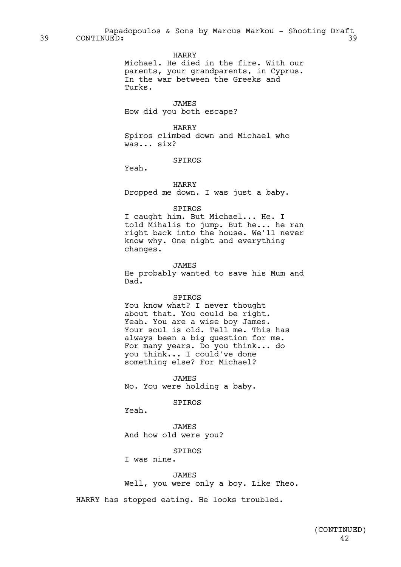Papadopoulos & Sons by Marcus Markou - Shooting Draft<br>UED: 39 39 CONTINUED: 39

HARRY

Michael. He died in the fire. With our parents, your grandparents, in Cyprus. In the war between the Greeks and Turks.

JAMES How did you both escape?

HARRY Spiros climbed down and Michael who was... six?

SPIROS

Yeah.

HARRY

Dropped me down. I was just a baby.

#### SPIROS

I caught him. But Michael... He. I told Mihalis to jump. But he... he ran right back into the house. We'll never know why. One night and everything changes.

JAMES He probably wanted to save his Mum and Dad.

#### SPIROS

You know what? I never thought about that. You could be right. Yeah. You are a wise boy James. Your soul is old. Tell me. This has always been a big question for me. For many years. Do you think... do you think... I could've done something else? For Michael?

JAMES No. You were holding a baby.

SPIROS

Yeah.

JAMES And how old were you?

SPIROS

I was nine.

#### JAMES

Well, you were only a boy. Like Theo.

HARRY has stopped eating. He looks troubled.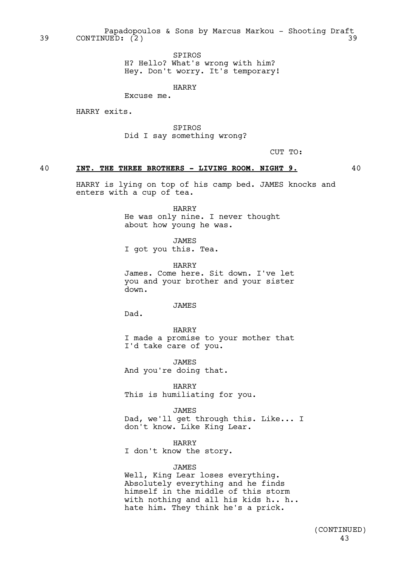Papadopoulos & Sons by Marcus Markou - Shooting Draft<br>UED: (2) 39 CONTINUED: (2) 39

> SPIROS H? Hello? What's wrong with him? Hey. Don't worry. It's temporary!

> > HARRY

Excuse me.

HARRY exits.

SPIROS Did I say something wrong?

CUT TO:

# 40 **INT. THE THREE BROTHERS - LIVING ROOM. NIGHT 9.** 40

HARRY is lying on top of his camp bed. JAMES knocks and enters with a cup of tea.

> HARRY He was only nine. I never thought about how young he was.

JAMES I got you this. Tea.

HARRY James. Come here. Sit down. I've let you and your brother and your sister down.

JAMES

Dad.

HARRY I made a promise to your mother that I'd take care of you.

JAMES And you're doing that.

HARRY This is humiliating for you.

**JAMES** Dad, we'll get through this. Like... I

don't know. Like King Lear.

HARRY

I don't know the story.

JAMES

Well, King Lear loses everything. Absolutely everything and he finds himself in the middle of this storm with nothing and all his kids h.. h.. hate him. They think he's a prick.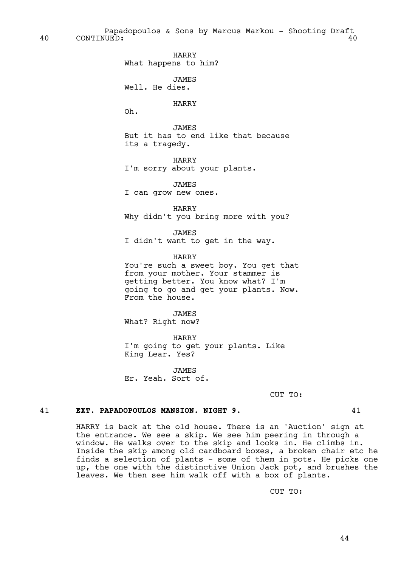Papadopoulos & Sons by Marcus Markou - Shooting Draft 40 CONTINUED: 40

HARRY

What happens to him?

**JAMES** 

Well. He dies.

# HARRY

Oh.

JAMES But it has to end like that because its a tragedy.

HARRY I'm sorry about your plants.

JAMES I can grow new ones.

HARRY Why didn't you bring more with you?

JAMES

I didn't want to get in the way.

HARRY

You're such a sweet boy. You get that from your mother. Your stammer is getting better. You know what? I'm going to go and get your plants. Now. From the house.

JAMES What? Right now?

HARRY I'm going to get your plants. Like King Lear. Yes?

JAMES Er. Yeah. Sort of.

CUT TO:

# 41 **EXT. PAPADOPOULOS MANSION. NIGHT 9.** 41

HARRY is back at the old house. There is an 'Auction' sign at the entrance. We see a skip. We see him peering in through a window. He walks over to the skip and looks in. He climbs in. Inside the skip among old cardboard boxes, a broken chair etc he finds a selection of plants - some of them in pots. He picks one up, the one with the distinctive Union Jack pot, and brushes the leaves. We then see him walk off with a box of plants.

CUT TO: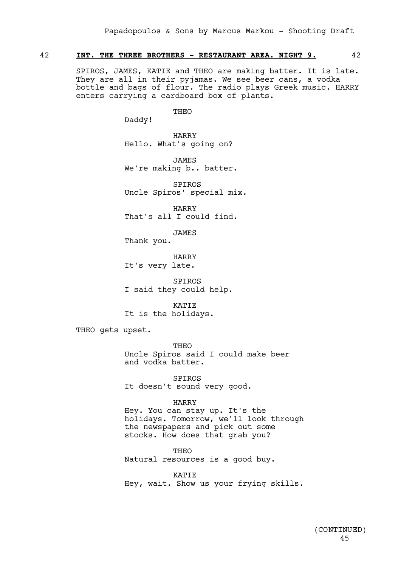# 42 **INT. THE THREE BROTHERS - RESTAURANT AREA. NIGHT 9.** 42

SPIROS, JAMES, KATIE and THEO are making batter. It is late. They are all in their pyjamas. We see beer cans, a vodka bottle and bags of flour. The radio plays Greek music. HARRY enters carrying a cardboard box of plants.

THEO

Daddy!

HARRY Hello. What's going on?

JAMES We're making b.. batter.

SPIROS Uncle Spiros' special mix.

HARRY That's all I could find.

JAMES

Thank you.

HARRY It's very late.

SPIROS I said they could help.

KATIE It is the holidays.

THEO gets upset.

THEO Uncle Spiros said I could make beer and vodka batter.

SPIROS It doesn't sound very good.

## HARRY

Hey. You can stay up. It's the holidays. Tomorrow, we'll look through the newspapers and pick out some stocks. How does that grab you?

THEO Natural resources is a good buy.

**KATTE** Hey, wait. Show us your frying skills.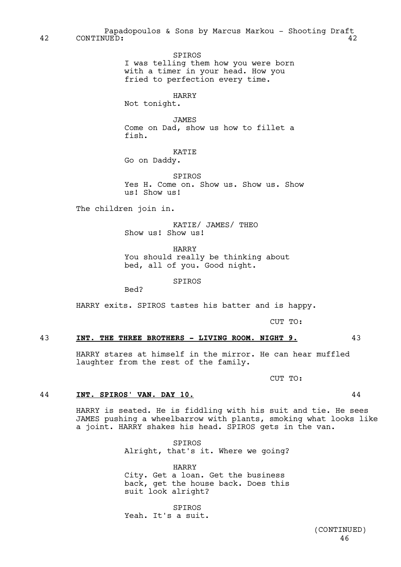Papadopoulos & Sons by Marcus Markou - Shooting Draft 42 CONTINUED: 42

> SPIROS I was telling them how you were born with a timer in your head. How you fried to perfection every time.

> > HARRY

Not tonight.

JAMES Come on Dad, show us how to fillet a fish.

KATIE Go on Daddy.

**SPIROS** Yes H. Come on. Show us. Show us. Show us! Show us!

The children join in.

KATIE/ JAMES/ THEO Show us! Show us!

HARRY You should really be thinking about bed, all of you. Good night.

SPIROS

Bed?

HARRY exits. SPIROS tastes his batter and is happy.

CUT TO:

# 43 **INT. THE THREE BROTHERS - LIVING ROOM. NIGHT 9.** 43

HARRY stares at himself in the mirror. He can hear muffled laughter from the rest of the family.

CUT TO:

# 44 **INT. SPIROS' VAN. DAY 10.** 44

HARRY is seated. He is fiddling with his suit and tie. He sees JAMES pushing a wheelbarrow with plants, smoking what looks like a joint. HARRY shakes his head. SPIROS gets in the van.

> SPIROS Alright, that's it. Where we going?

> HARRY City. Get a loan. Get the business back, get the house back. Does this suit look alright?

SPIROS Yeah. It's a suit.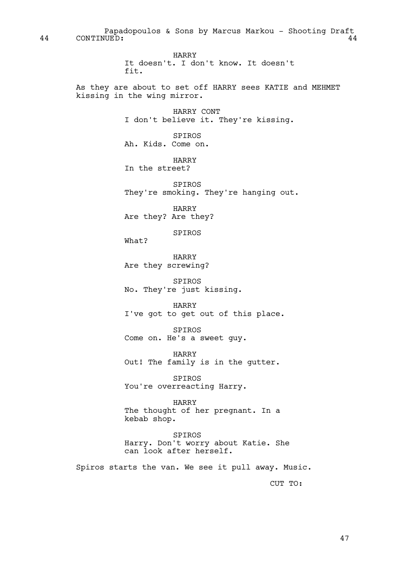Papadopoulos & Sons by Marcus Markou - Shooting Draft 44 CONTINUED: 44

> HARRY It doesn't. I don't know. It doesn't fit.

As they are about to set off HARRY sees KATIE and MEHMET kissing in the wing mirror.

> HARRY CONT I don't believe it. They're kissing.

SPIROS Ah. Kids. Come on.

HARRY In the street?

SPIROS They're smoking. They're hanging out.

HARRY Are they? Are they?

SPIROS

What?

HARRY Are they screwing?

SPIROS No. They're just kissing.

HARRY I've got to get out of this place.

SPIROS Come on. He's a sweet guy.

HARRY Out! The family is in the gutter.

SPIROS You're overreacting Harry.

HARRY The thought of her pregnant. In a kebab shop.

SPIROS Harry. Don't worry about Katie. She can look after herself.

Spiros starts the van. We see it pull away. Music.

CUT TO: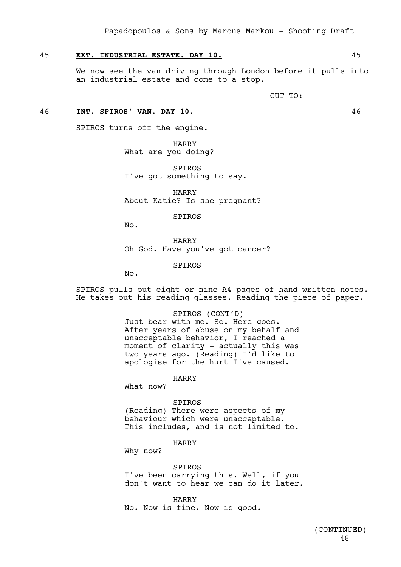# 45 **EXT. INDUSTRIAL ESTATE. DAY 10.** 45

We now see the van driving through London before it pulls into an industrial estate and come to a stop.

CUT TO:

## 46 **INT. SPIROS' VAN. DAY 10.** 46

SPIROS turns off the engine.

HARRY What are you doing?

SPIROS I've got something to say.

HARRY About Katie? Is she pregnant?

SPIROS

No.

HARRY Oh God. Have you've got cancer?

SPIROS

No.

SPIROS pulls out eight or nine A4 pages of hand written notes. He takes out his reading glasses. Reading the piece of paper.

> SPIROS (CONT'D) Just bear with me. So. Here goes. After years of abuse on my behalf and unacceptable behavior, I reached a moment of clarity - actually this was two years ago. (Reading) I'd like to apologise for the hurt I've caused.

> > HARRY

What now?

#### SPIROS

(Reading) There were aspects of my behaviour which were unacceptable. This includes, and is not limited to.

HARRY

Why now?

SPIROS I've been carrying this. Well, if you don't want to hear we can do it later.

HARRY No. Now is fine. Now is good.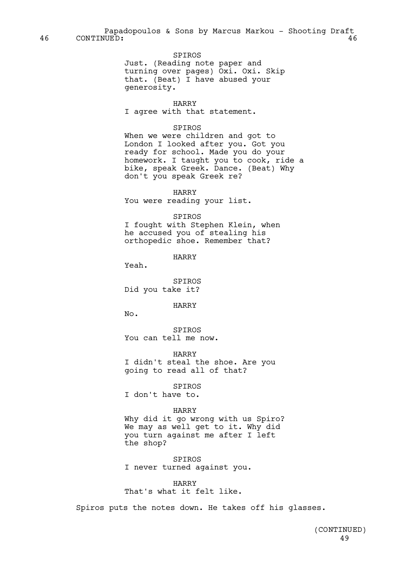Papadopoulos & Sons by Marcus Markou - Shooting Draft 46 CONTINUED: 46

> SPIROS Just. (Reading note paper and turning over pages) Oxi. Oxi. Skip that. (Beat) I have abused your generosity.

> > HARRY

I agree with that statement.

## SPIROS

When we were children and got to London I looked after you. Got you ready for school. Made you do your homework. I taught you to cook, ride a bike, speak Greek. Dance. (Beat) Why don't you speak Greek re?

HARRY

You were reading your list.

## SPIROS

I fought with Stephen Klein, when he accused you of stealing his orthopedic shoe. Remember that?

HARRY

Yeah.

SPIROS Did you take it?

HARRY

No.

SPIROS You can tell me now.

HARRY

I didn't steal the shoe. Are you going to read all of that?

SPIROS I don't have to.

## HARRY

Why did it go wrong with us Spiro? We may as well get to it. Why did you turn against me after I left the shop?

SPIROS I never turned against you.

HARRY That's what it felt like.

Spiros puts the notes down. He takes off his glasses.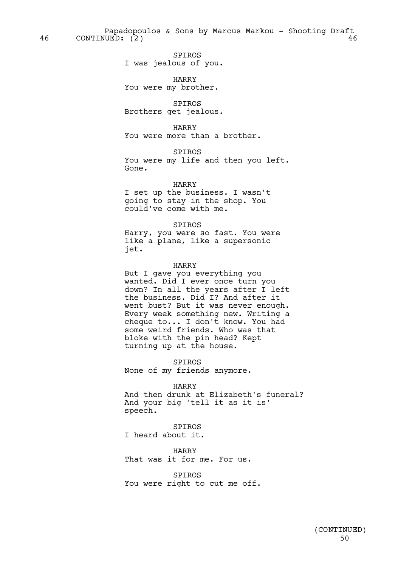Papadopoulos & Sons by Marcus Markou - Shooting Draft 46 CONTINUED: (2) 46

> SPIROS I was jealous of you.

HARRY You were my brother.

SPIROS Brothers get jealous.

HARRY You were more than a brother.

SPIROS You were my life and then you left. Gone.

HARRY I set up the business. I wasn't going to stay in the shop. You could've come with me.

SPIROS

Harry, you were so fast. You were like a plane, like a supersonic jet.

## HARRY

But I gave you everything you wanted. Did I ever once turn you down? In all the years after I left the business. Did I? And after it went bust? But it was never enough. Every week something new. Writing a cheque to... I don't know. You had some weird friends. Who was that bloke with the pin head? Kept turning up at the house.

SPIROS None of my friends anymore.

HARRY And then drunk at Elizabeth's funeral? And your big 'tell it as it is' speech.

SPIROS I heard about it.

HARRY That was it for me. For us.

SPIROS You were right to cut me off.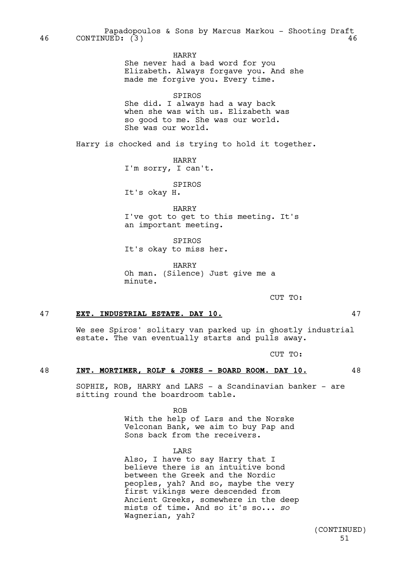HARRY She never had a bad word for you Elizabeth. Always forgave you. And she made me forgive you. Every time.

SPIROS

She did. I always had a way back when she was with us. Elizabeth was so good to me. She was our world. She was our world.

Harry is chocked and is trying to hold it together.

HARRY I'm sorry, I can't.

SPIROS

It's okay H.

HARRY I've got to get to this meeting. It's an important meeting.

SPIROS It's okay to miss her.

HARRY Oh man. (Silence) Just give me a minute.

CUT TO:

# 47 **EXT. INDUSTRIAL ESTATE. DAY 10.** 47

We see Spiros' solitary van parked up in ghostly industrial estate. The van eventually starts and pulls away.

CUT TO:

# 48 **INT. MORTIMER, ROLF & JONES - BOARD ROOM. DAY 10.** 48

SOPHIE, ROB, HARRY and LARS - a Scandinavian banker - are sitting round the boardroom table.

ROB

With the help of Lars and the Norske Velconan Bank, we aim to buy Pap and Sons back from the receivers.

LARS

Also, I have to say Harry that I believe there is an intuitive bond between the Greek and the Nordic peoples, yah? And so, maybe the very first vikings were descended from Ancient Greeks, somewhere in the deep mists of time. And so it's so... *so* Wagnerian, yah?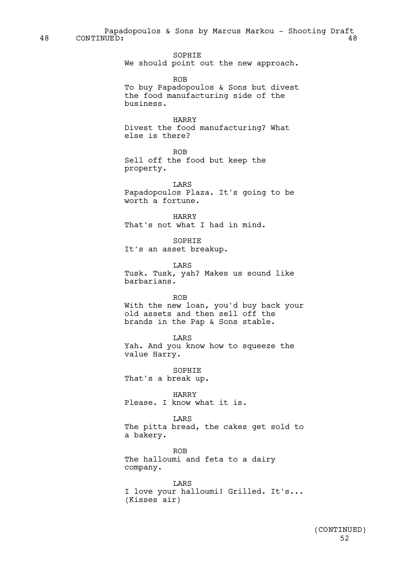Papadopoulos & Sons by Marcus Markou - Shooting Draft 48 CONTINUED: 48

> SOPHIE We should point out the new approach.

> > ROB

To buy Papadopoulos & Sons but divest the food manufacturing side of the business.

# HARRY

Divest the food manufacturing? What else is there?

ROB

Sell off the food but keep the property.

LARS Papadopoulos Plaza. It's going to be worth a fortune.

HARRY That's not what I had in mind.

SOPHIE It's an asset breakup.

LARS Tusk. Tusk, yah? Makes us sound like barbarians.

ROB

With the new loan, you'd buy back your old assets and then sell off the brands in the Pap & Sons stable.

LARS

Yah. And you know how to squeeze the value Harry.

SOPHIE That's a break up.

HARRY Please. I know what it is.

LARS

The pitta bread, the cakes get sold to a bakery.

ROB The halloumi and feta to a dairy company.

**TARS** I love your halloumi! Grilled. It's... (Kisses air)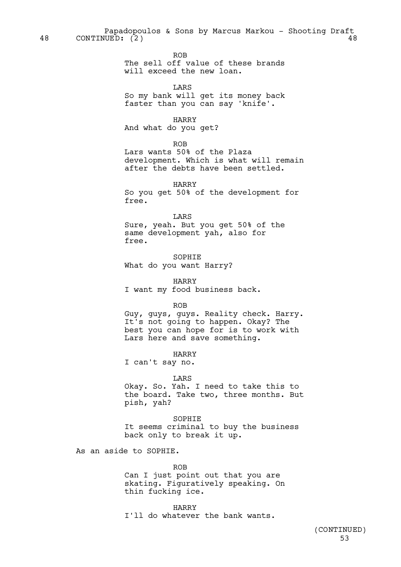Papadopoulos & Sons by Marcus Markou - Shooting Draft 48 CONTINUED: (2) 48

ROB

The sell off value of these brands will exceed the new loan.

LARS

So my bank will get its money back faster than you can say 'knife'.

HARRY

And what do you get?

ROB

Lars wants 50% of the Plaza development. Which is what will remain after the debts have been settled.

HARRY So you get 50% of the development for free.

LARS Sure, yeah. But you get 50% of the same development yah, also for free.

SOPHIE What do you want Harry?

HARRY I want my food business back.

ROB

Guy, guys, guys. Reality check. Harry. It's not going to happen. Okay? The best you can hope for is to work with Lars here and save something.

HARRY

I can't say no.

### LARS

Okay. So. Yah. I need to take this to the board. Take two, three months. But pish, yah?

SOPHIE It seems criminal to buy the business back only to break it up.

As an aside to SOPHIE.

ROB Can I just point out that you are skating. Figuratively speaking. On thin fucking ice.

HARRY I'll do whatever the bank wants.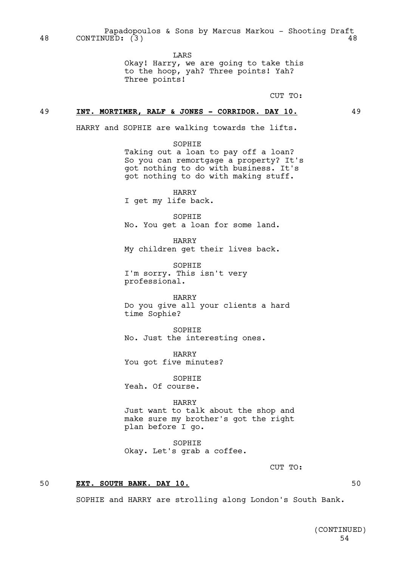Papadopoulos & Sons by Marcus Markou - Shooting Draft<br>UUED: (3) 48 CONTINUED: (3) 48

LARS

Okay! Harry, we are going to take this to the hoop, yah? Three points! Yah? Three points!

CUT TO:

## 49 **INT. MORTIMER, RALF & JONES - CORRIDOR. DAY 10.** 49

HARRY and SOPHIE are walking towards the lifts.

SOPHIE Taking out a loan to pay off a loan? So you can remortgage a property? It's

got nothing to do with business. It's got nothing to do with making stuff.

HARRY I get my life back.

SOPHIE No. You get a loan for some land.

HARRY My children get their lives back.

SOPHIE I'm sorry. This isn't very professional.

HARRY Do you give all your clients a hard time Sophie?

SOPHIE No. Just the interesting ones.

HARRY You got five minutes?

SOPHIE Yeah. Of course.

#### HARRY

Just want to talk about the shop and make sure my brother's got the right plan before I go.

SOPHIE Okay. Let's grab a coffee.

CUT TO:

# 50 **EXT. SOUTH BANK. DAY 10.** 50

SOPHIE and HARRY are strolling along London's South Bank.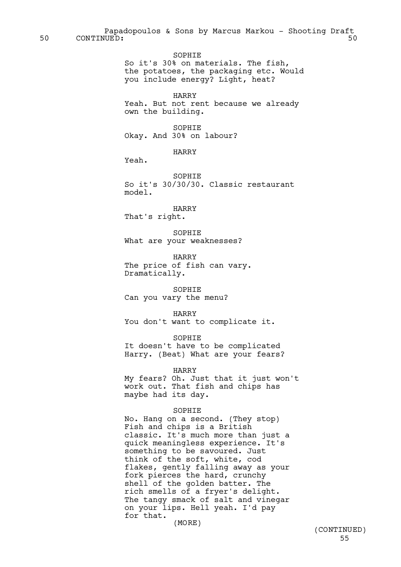Papadopoulos & Sons by Marcus Markou - Shooting Draft 50 CONTINUED: 50

> SOPHIE So it's 30% on materials. The fish, the potatoes, the packaging etc. Would you include energy? Light, heat?

HARRY Yeah. But not rent because we already own the building.

SOPHIE Okay. And 30% on labour?

HARRY

Yeah.

**SOPHIE** So it's 30/30/30. Classic restaurant model.

## HARRY

That's right.

SOPHIE What are your weaknesses?

HARRY The price of fish can vary. Dramatically.

SOPHIE Can you vary the menu?

HARRY You don't want to complicate it.

SOPHIE It doesn't have to be complicated Harry. (Beat) What are your fears?

HARRY My fears? Oh. Just that it just won't work out. That fish and chips has maybe had its day.

## SOPHIE

No. Hang on a second. (They stop) Fish and chips is a British classic. It's much more than just a quick meaningless experience. It's something to be savoured. Just think of the soft, white, cod flakes, gently falling away as your fork pierces the hard, crunchy shell of the golden batter. The rich smells of a fryer's delight. The tangy smack of salt and vinegar on your lips. Hell yeah. I'd pay for that.

(MORE)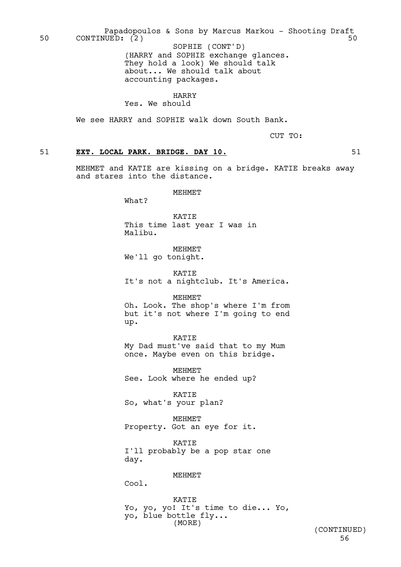Papadopoulos & Sons by Marcus Markou - Shooting Draft<br>UED: (2) 50 CONTINUED: (2)

(HARRY and SOPHIE exchange glances. They hold a look) We should talk about... We should talk about accounting packages. SOPHIE (CONT'D)

HARRY

Yes. We should

We see HARRY and SOPHIE walk down South Bank.

CUT TO:

# 51 **EXT. LOCAL PARK. BRIDGE. DAY 10.** 51

MEHMET and KATIE are kissing on a bridge. KATIE breaks away and stares into the distance.

MEHMET

What?

KATIE This time last year I was in Malibu.

MEHMET We'll go tonight.

KATIE It's not a nightclub. It's America.

MEHMET

Oh. Look. The shop's where I'm from but it's not where I'm going to end up.

KATIE

My Dad must've said that to my Mum once. Maybe even on this bridge.

MEHMET See. Look where he ended up?

KATIE So, what's your plan?

MEHMET Property. Got an eye for it.

**KATTE** I'll probably be a pop star one day.

**MEHMET** 

Cool.

KATIE Yo, yo, yo! It's time to die... Yo, yo, blue bottle fly... (MORE)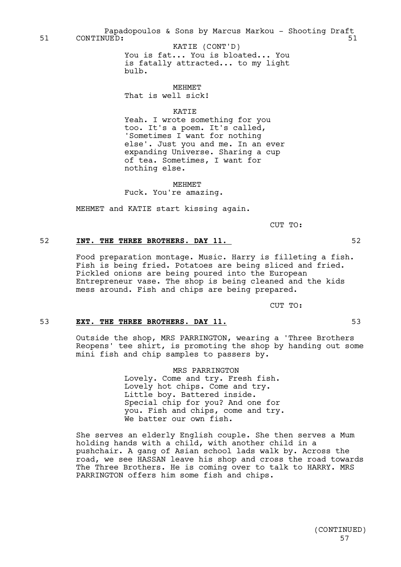Papadopoulos & Sons by Marcus Markou - Shooting Draft 51 CONTINUED: 51

You is fat... You is bloated... You is fatally attracted... to my light bulb. KATIE (CONT'D)

**MEHMET** That is well sick!

KATIE

Yeah. I wrote something for you too. It's a poem. It's called, 'Sometimes I want for nothing else'. Just you and me. In an ever expanding Universe. Sharing a cup of tea. Sometimes, I want for nothing else.

MEHMET Fuck. You're amazing.

MEHMET and KATIE start kissing again.

CUT TO:

# 52 **INT. THE THREE BROTHERS. DAY 11.** 52

Food preparation montage. Music. Harry is filleting a fish. Fish is being fried. Potatoes are being sliced and fried. Pickled onions are being poured into the European Entrepreneur vase. The shop is being cleaned and the kids mess around. Fish and chips are being prepared.

CUT TO:

# 53 **EXT. THE THREE BROTHERS. DAY 11.** 53

Outside the shop, MRS PARRINGTON, wearing a 'Three Brothers Reopens' tee shirt, is promoting the shop by handing out some mini fish and chip samples to passers by.

> MRS PARRINGTON Lovely. Come and try. Fresh fish. Lovely hot chips. Come and try. Little boy. Battered inside. Special chip for you? And one for you. Fish and chips, come and try. We batter our own fish.

She serves an elderly English couple. She then serves a Mum holding hands with a child, with another child in a pushchair. A gang of Asian school lads walk by. Across the road, we see HASSAN leave his shop and cross the road towards The Three Brothers. He is coming over to talk to HARRY. MRS PARRINGTON offers him some fish and chips.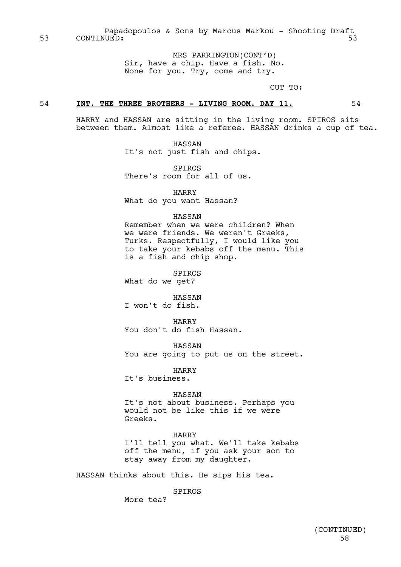Papadopoulos & Sons by Marcus Markou - Shooting Draft 53 CONTINUED: 53

> MRS PARRINGTON(CONT'D) Sir, have a chip. Have a fish. No. None for you. Try, come and try.

> > CUT TO:

## 54 **INT. THE THREE BROTHERS - LIVING ROOM. DAY 11.** 54

HARRY and HASSAN are sitting in the living room. SPIROS sits between them. Almost like a referee. HASSAN drinks a cup of tea.

> HASSAN It's not just fish and chips.

SPIROS There's room for all of us.

HARRY What do you want Hassan?

# HASSAN

Remember when we were children? When we were friends. We weren't Greeks, Turks. Respectfully, I would like you to take your kebabs off the menu. This is a fish and chip shop.

SPIROS What do we get?

HASSAN I won't do fish.

HARRY You don't do fish Hassan.

HASSAN You are going to put us on the street.

HARRY It's business.

## HASSAN

It's not about business. Perhaps you would not be like this if we were Greeks.

#### HARRY

I'll tell you what. We'll take kebabs off the menu, if you ask your son to stay away from my daughter.

HASSAN thinks about this. He sips his tea.

SPIROS

More tea?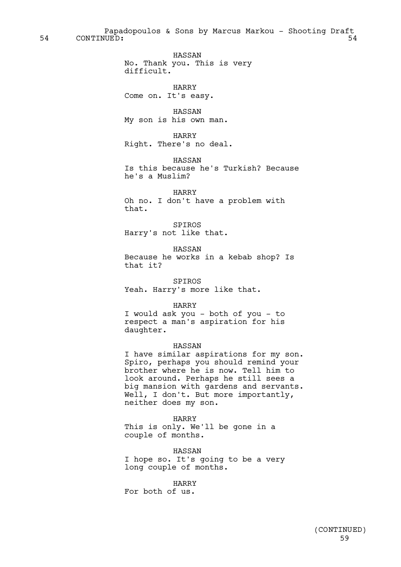Papadopoulos & Sons by Marcus Markou - Shooting Draft 54 CONTINUED: 54

> HASSAN No. Thank you. This is very difficult.

HARRY Come on. It's easy.

HASSAN My son is his own man.

HARRY Right. There's no deal.

HASSAN Is this because he's Turkish? Because he's a Muslim?

HARRY Oh no. I don't have a problem with that.

SPIROS Harry's not like that.

HASSAN Because he works in a kebab shop? Is that it?

SPIROS Yeah. Harry's more like that.

HARRY

I would ask you - both of you - to respect a man's aspiration for his daughter.

## HASSAN

I have similar aspirations for my son. Spiro, perhaps you should remind your brother where he is now. Tell him to look around. Perhaps he still sees a big mansion with gardens and servants. Well, I don't. But more importantly, neither does my son.

HARRY This is only. We'll be gone in a couple of months.

HASSAN I hope so. It's going to be a very long couple of months.

HARRY For both of us.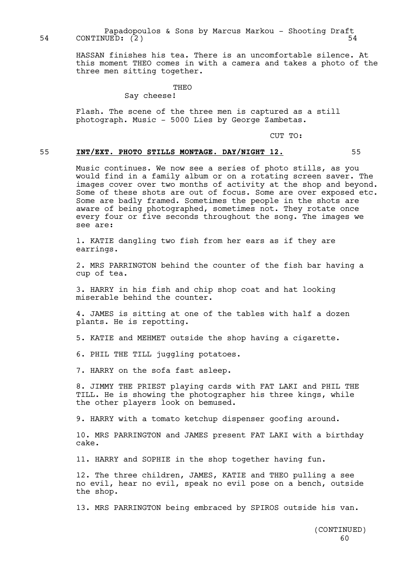Papadopoulos & Sons by Marcus Markou - Shooting Draft 54 CONTINUED: (2) 54

> HASSAN finishes his tea. There is an uncomfortable silence. At this moment THEO comes in with a camera and takes a photo of the three men sitting together.

# THEO

# Say cheese!

Flash. The scene of the three men is captured as a still photograph. Music - 5000 Lies by George Zambetas.

CUT TO:

# 55 **INT/EXT. PHOTO STILLS MONTAGE. DAY/NIGHT 12.** 55

Music continues. We now see a series of photo stills, as you would find in a family album or on a rotating screen saver. The images cover over two months of activity at the shop and beyond. Some of these shots are out of focus. Some are over exposed etc. Some are badly framed. Sometimes the people in the shots are aware of being photographed, sometimes not. They rotate once every four or five seconds throughout the song. The images we see are:

1. KATIE dangling two fish from her ears as if they are earrings.

2. MRS PARRINGTON behind the counter of the fish bar having a cup of tea.

3. HARRY in his fish and chip shop coat and hat looking miserable behind the counter.

4. JAMES is sitting at one of the tables with half a dozen plants. He is repotting.

5. KATIE and MEHMET outside the shop having a cigarette.

6. PHIL THE TILL juggling potatoes.

7. HARRY on the sofa fast asleep.

8. JIMMY THE PRIEST playing cards with FAT LAKI and PHIL THE TILL. He is showing the photographer his three kings, while the other players look on bemused.

9. HARRY with a tomato ketchup dispenser goofing around.

10. MRS PARRINGTON and JAMES present FAT LAKI with a birthday cake.

11. HARRY and SOPHIE in the shop together having fun.

12. The three children, JAMES, KATIE and THEO pulling a see no evil, hear no evil, speak no evil pose on a bench, outside the shop.

13. MRS PARRINGTON being embraced by SPIROS outside his van.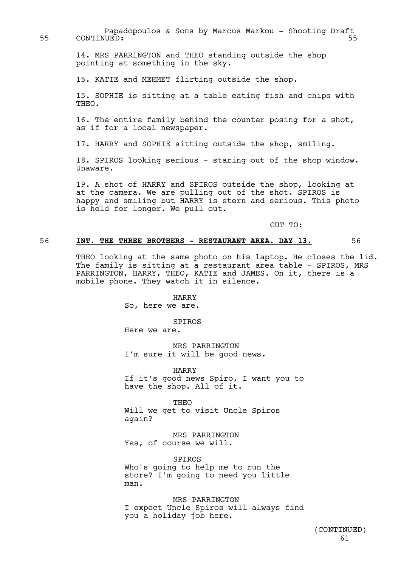Papadopoulos & Sons by Marcus Markou - Shooting Draft 55 CONTINUED: 55

> 14. MRS PARRINGTON and THEO standing outside the shop pointing at something in the sky.

15. KATIE and MEHMET flirting outside the shop.

15. SOPHIE is sitting at a table eating fish and chips with THEO.

16. The entire family behind the counter posing for a shot, as if for a local newspaper.

17. HARRY and SOPHIE sitting outside the shop, smiling.

18. SPIROS looking serious - staring out of the shop window. Unaware.

19. A shot of HARRY and SPIROS outside the shop, looking at at the camera. We are pulling out of the shot. SPIROS is happy and smiling but HARRY is stern and serious. This photo is held for longer. We pull out.

CUT TO:

# 56 **INT. THE THREE BROTHERS - RESTAURANT AREA. DAY 13.** 56

THEO looking at the same photo on his laptop. He closes the lid. The family is sitting at a restaurant area table - SPIROS, MRS PARRINGTON, HARRY, THEO, KATIE and JAMES. On it, there is a mobile phone. They watch it in silence.

HARRY

So, here we are.

**SPIROS** 

Here we are.

MRS PARRINGTON I'm sure it will be good news.

HARRY If it's good news Spiro, I want you to have the shop. All of it.

THEO Will we get to visit Uncle Spiros again?

MRS PARRINGTON Yes, of course we will.

SPIROS Who's going to help me to run the store? I'm going to need you little man.

MRS PARRINGTON I expect Uncle Spiros will always find you a holiday job here.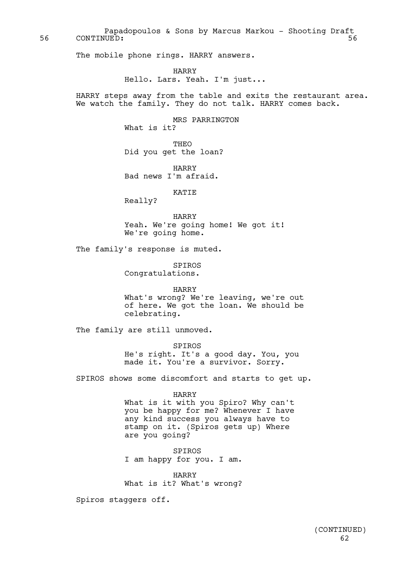Papadopoulos & Sons by Marcus Markou - Shooting Draft 56 CONTINUED: 56

The mobile phone rings. HARRY answers.

HARRY Hello. Lars. Yeah. I'm just...

HARRY steps away from the table and exits the restaurant area. We watch the family. They do not talk. HARRY comes back.

> MRS PARRINGTON What is it? THEO

Did you get the loan?

HARRY Bad news I'm afraid.

KATIE

Really?

HARRY Yeah. We're going home! We got it! We're going home.

The family's response is muted.

SPIROS Congratulations.

HARRY What's wrong? We're leaving, we're out of here. We got the loan. We should be celebrating.

The family are still unmoved.

SPIROS He's right. It's a good day. You, you made it. You're a survivor. Sorry.

SPIROS shows some discomfort and starts to get up.

HARRY

What is it with you Spiro? Why can't you be happy for me? Whenever I have any kind success you always have to stamp on it. (Spiros gets up) Where are you going?

SPIROS I am happy for you. I am.

HARRY What is it? What's wrong?

Spiros staggers off.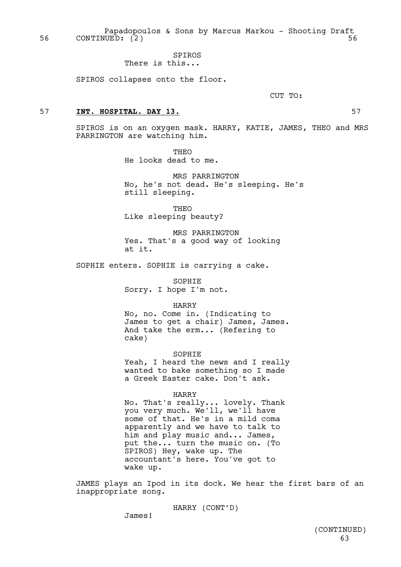Papadopoulos & Sons by Marcus Markou - Shooting Draft 56 CONTINUED: (2) 56

## SPIROS There is this...

SPIROS collapses onto the floor.

CUT TO:

## 57 **INT. HOSPITAL. DAY 13.** 57

SPIROS is on an oxygen mask. HARRY, KATIE, JAMES, THEO and MRS PARRINGTON are watching him.

> THEO He looks dead to me.

MRS PARRINGTON No, he's not dead. He's sleeping. He's still sleeping.

THEO Like sleeping beauty?

MRS PARRINGTON Yes. That's a good way of looking at it.

SOPHIE enters. SOPHIE is carrying a cake.

SOPHIE

Sorry. I hope I'm not.

HARRY

No, no. Come in. (Indicating to James to get a chair) James, James. And take the erm... (Refering to cake)

SOPHIE

Yeah, I heard the news and I really wanted to bake something so I made a Greek Easter cake. Don't ask.

#### HARRY

No. That's really... lovely. Thank you very much. We'll, we'll have some of that. He's in a mild coma apparently and we have to talk to him and play music and... James, put the... turn the music on. (To SPIROS) Hey, wake up. The accountant's here. You've got to wake up.

JAMES plays an Ipod in its dock. We hear the first bars of an inappropriate song.

HARRY (CONT'D)

James!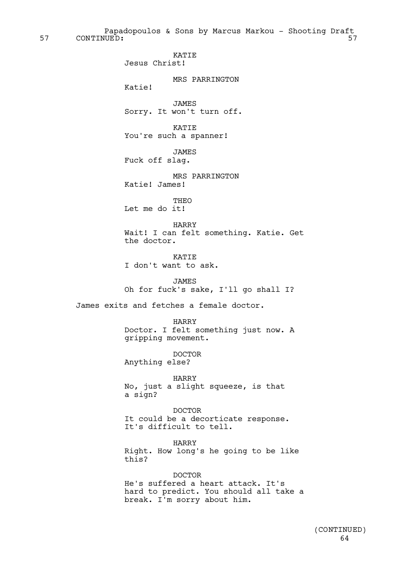Papadopoulos & Sons by Marcus Markou - Shooting Draft 57 CONTINUED: 57

> KATIE Jesus Christ!

> > MRS PARRINGTON

Katie!

JAMES Sorry. It won't turn off.

KATIE You're such a spanner!

JAMES Fuck off slag.

MRS PARRINGTON Katie! James!

THEO Let me do it!

HARRY Wait! I can felt something. Katie. Get the doctor.

KATIE I don't want to ask.

JAMES Oh for fuck's sake, I'll go shall I?

James exits and fetches a female doctor.

HARRY Doctor. I felt something just now. A gripping movement.

DOCTOR Anything else?

HARRY No, just a slight squeeze, is that a sign?

DOCTOR It could be a decorticate response. It's difficult to tell.

HARRY Right. How long's he going to be like this?

DOCTOR

He's suffered a heart attack. It's hard to predict. You should all take a break. I'm sorry about him.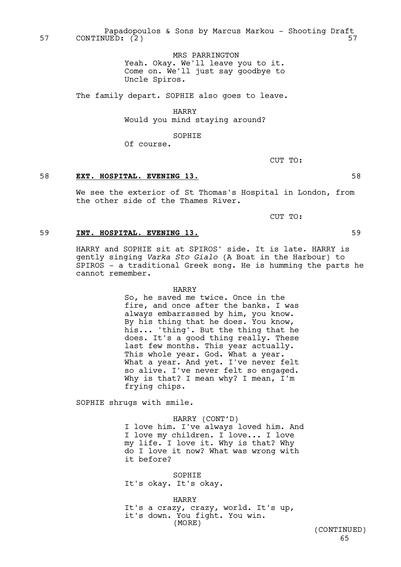Papadopoulos & Sons by Marcus Markou - Shooting Draft 57 CONTINUED: (2) 57

> MRS PARRINGTON Yeah. Okay. We'll leave you to it. Come on. We'll just say goodbye to Uncle Spiros.

The family depart. SOPHIE also goes to leave.

HARRY Would you mind staying around?

SOPHIE

Of course.

CUT TO:

# 58 **EXT. HOSPITAL. EVENING 13.** 58

We see the exterior of St Thomas's Hospital in London, from the other side of the Thames River.

CUT TO:

# 59 **INT. HOSPITAL. EVENING 13.** 59

HARRY and SOPHIE sit at SPIROS' side. It is late. HARRY is gently singing *Varka Sto Gialo* (A Boat in the Harbour) to SPIROS - a traditional Greek song. He is humming the parts he cannot remember.

#### HARRY

So, he saved me twice. Once in the fire, and once after the banks. I was always embarrassed by him, you know. By his thing that he does. You know, his... 'thing'. But the thing that he does. It's a good thing really. These last few months. This year actually. This whole year. God. What a year. What a year. And yet. I've never felt so alive. I've never felt so engaged. Why is that? I mean why? I mean, I'm frying chips.

SOPHIE shrugs with smile.

HARRY (CONT'D) I love him. I've always loved him. And I love my children. I love... I love my life. I love it. Why is that? Why do I love it now? What was wrong with it before?

SOPHIE It's okay. It's okay.

HARRY It's a crazy, crazy, world. It's up, it's down. You fight. You win. (MORE)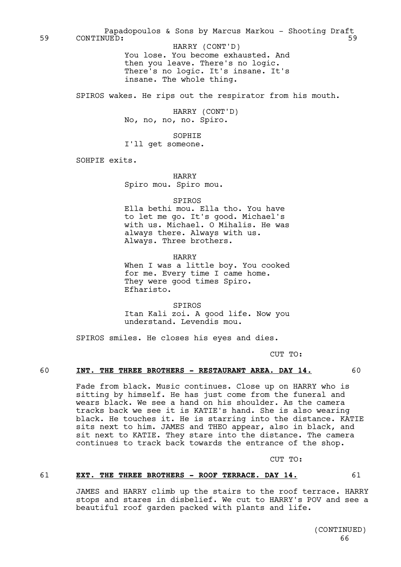Papadopoulos & Sons by Marcus Markou - Shooting Draft 59 CONTINUED: 59

You lose. You become exhausted. And then you leave. There's no logic. There's no logic. It's insane. It's insane. The whole thing. HARRY (CONT'D)

SPIROS wakes. He rips out the respirator from his mouth.

HARRY (CONT'D) No, no, no, no. Spiro.

SOPHIE

I'll get someone.

SOHPIE exits.

HARRY Spiro mou. Spiro mou.

SPIROS

Ella bethi mou. Ella tho. You have to let me go. It's good. Michael's with us. Michael. O Mihalis. He was always there. Always with us. Always. Three brothers.

HARRY

When I was a little boy. You cooked for me. Every time I came home. They were good times Spiro. Efharisto.

SPIROS Itan Kali zoi. A good life. Now you understand. Levendis mou.

SPIROS smiles. He closes his eyes and dies.

CUT TO:

## 60 **INT. THE THREE BROTHERS - RESTAURANT AREA. DAY 14.** 60

Fade from black. Music continues. Close up on HARRY who is sitting by himself. He has just come from the funeral and wears black. We see a hand on his shoulder. As the camera tracks back we see it is KATIE's hand. She is also wearing black. He touches it. He is starring into the distance. KATIE sits next to him. JAMES and THEO appear, also in black, and sit next to KATIE. They stare into the distance. The camera continues to track back towards the entrance of the shop.

CUT TO:

# 61 **EXT. THE THREE BROTHERS - ROOF TERRACE. DAY 14.** 61

JAMES and HARRY climb up the stairs to the roof terrace. HARRY stops and stares in disbelief. We cut to HARRY's POV and see a beautiful roof garden packed with plants and life.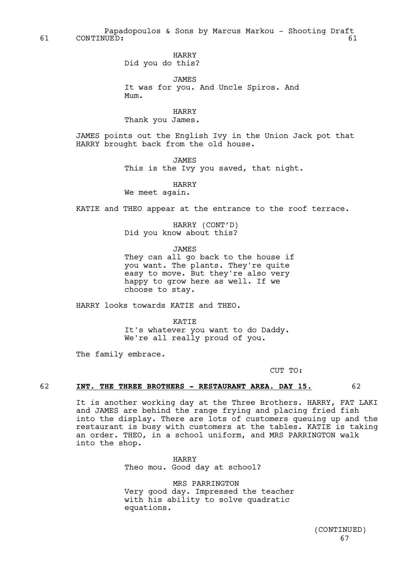Papadopoulos & Sons by Marcus Markou - Shooting Draft 61 CONTINUED: 61

> HARRY Did you do this?

JAMES It was for you. And Uncle Spiros. And Mum.

HARRY Thank you James.

JAMES points out the English Ivy in the Union Jack pot that HARRY brought back from the old house.

JAMES

This is the Ivy you saved, that night.

HARRY

We meet again.

KATIE and THEO appear at the entrance to the roof terrace.

HARRY (CONT'D) Did you know about this?

JAMES

They can all go back to the house if you want. The plants. They're quite easy to move. But they're also very happy to grow here as well. If we choose to stay.

HARRY looks towards KATIE and THEO.

**KATTE** It's whatever you want to do Daddy. We're all really proud of you.

The family embrace.

CUT TO:

# 62 **INT. THE THREE BROTHERS - RESTAURANT AREA. DAY 15.** 62

It is another working day at the Three Brothers. HARRY, FAT LAKI and JAMES are behind the range frying and placing fried fish into the display. There are lots of customers queuing up and the restaurant is busy with customers at the tables. KATIE is taking an order. THEO, in a school uniform, and MRS PARRINGTON walk into the shop.

> HARRY Theo mou. Good day at school?

MRS PARRINGTON Very good day. Impressed the teacher with his ability to solve quadratic equations.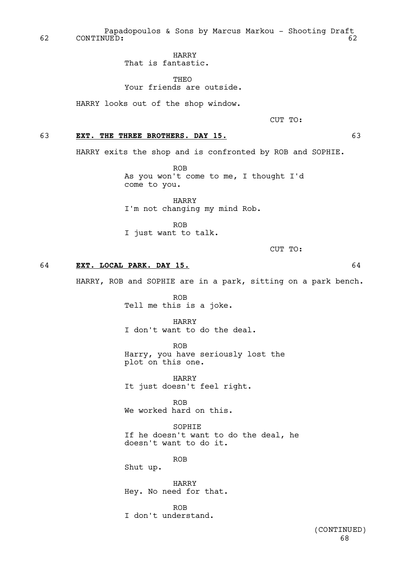Papadopoulos & Sons by Marcus Markou - Shooting Draft 62 CONTINUED: 62

HARRY

That is fantastic.

THEO Your friends are outside.

HARRY looks out of the shop window.

CUT TO:

# 63 **EXT. THE THREE BROTHERS. DAY 15.** 63

HARRY exits the shop and is confronted by ROB and SOPHIE.

ROB As you won't come to me, I thought I'd come to you.

HARRY I'm not changing my mind Rob.

ROB I just want to talk.

CUT TO:

# 64 **EXT. LOCAL PARK. DAY 15.** 64

HARRY, ROB and SOPHIE are in a park, sitting on a park bench.

ROB Tell me this is a joke.

HARRY I don't want to do the deal.

ROB Harry, you have seriously lost the plot on this one.

HARRY It just doesn't feel right.

ROB We worked hard on this.

SOPHIE If he doesn't want to do the deal, he doesn't want to do it.

ROB

Shut up.

HARRY Hey. No need for that.

ROB I don't understand.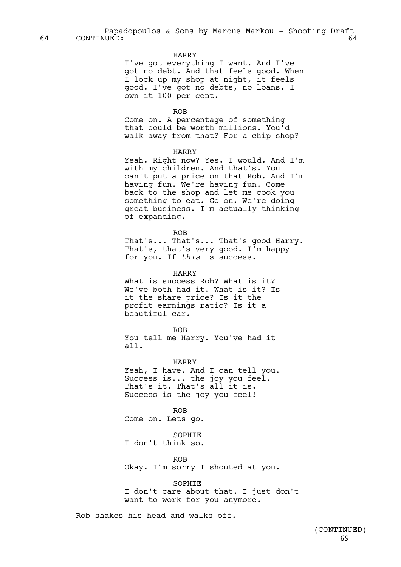# HARRY

I've got everything I want. And I've got no debt. And that feels good. When I lock up my shop at night, it feels good. I've got no debts, no loans. I own it 100 per cent.

ROB

Come on. A percentage of something that could be worth millions. You'd walk away from that? For a chip shop?

### HARRY

Yeah. Right now? Yes. I would. And I'm with my children. And that's. You can't put a price on that Rob. And I'm having fun. We're having fun. Come back to the shop and let me cook you something to eat. Go on. We're doing great business. I'm actually thinking of expanding.

ROB

That's... That's... That's good Harry. That's, that's very good. I'm happy for you. If *this* is success.

HARRY

What is success Rob? What is it? We've both had it. What is it? Is it the share price? Is it the profit earnings ratio? Is it a beautiful car.

ROB

You tell me Harry. You've had it all.

HARRY Yeah, I have. And I can tell you. Success is... the joy you feel. That's it. That's all it is. Success is the joy you feel!

ROB Come on. Lets go.

SOPHIE I don't think so.

ROB Okay. I'm sorry I shouted at you.

**SOPHIE** I don't care about that. I just don't want to work for you anymore.

Rob shakes his head and walks off.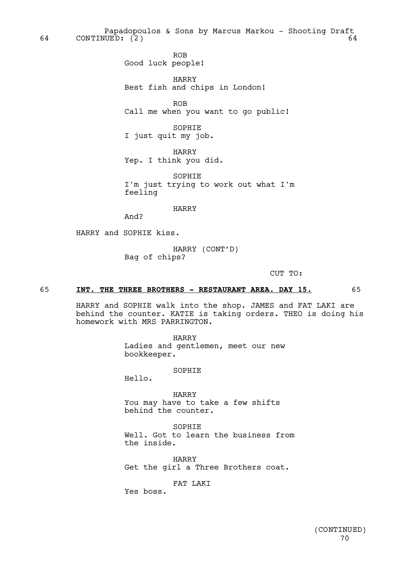Papadopoulos & Sons by Marcus Markou - Shooting Draft<br>UED: (2) 64 CONTINUED: (2) 64

> ROB Good luck people!

HARRY Best fish and chips in London!

ROB Call me when you want to go public!

SOPHIE I just quit my job.

HARRY Yep. I think you did.

SOPHIE I'm just trying to work out what I'm feeling

HARRY

And?

HARRY and SOPHIE kiss.

HARRY (CONT'D) Bag of chips?

CUT TO:

# 65 **INT. THE THREE BROTHERS - RESTAURANT AREA. DAY 15.** 65

HARRY and SOPHIE walk into the shop. JAMES and FAT LAKI are behind the counter. KATIE is taking orders. THEO is doing his homework with MRS PARRINGTON.

> HARRY Ladies and gentlemen, meet our new bookkeeper.

> > SOPHIE

Hello.

HARRY You may have to take a few shifts behind the counter.

SOPHIE Well. Got to learn the business from the inside.

HARRY Get the girl a Three Brothers coat.

FAT LAKT

Yes boss.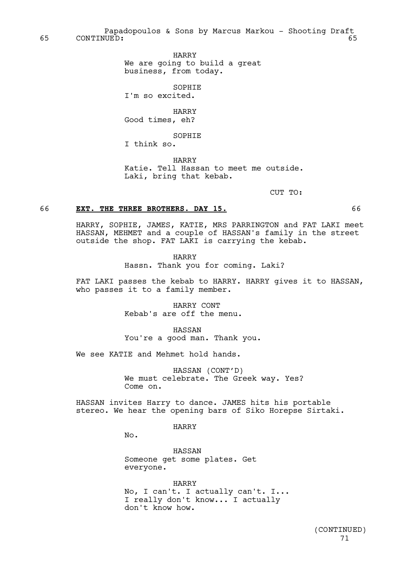Papadopoulos & Sons by Marcus Markou - Shooting Draft 65 CONTINUED: 65

> HARRY We are going to build a great business, from today.

**SOPHIE** I'm so excited.

HARRY Good times, eh?

SOPHIE

I think so.

HARRY Katie. Tell Hassan to meet me outside. Laki, bring that kebab.

CUT TO:

## 66 **EXT. THE THREE BROTHERS. DAY 15.** 66

HARRY, SOPHIE, JAMES, KATIE, MRS PARRINGTON and FAT LAKI meet HASSAN, MEHMET and a couple of HASSAN's family in the street outside the shop. FAT LAKI is carrying the kebab.

HARRY

Hassn. Thank you for coming. Laki?

FAT LAKI passes the kebab to HARRY. HARRY gives it to HASSAN, who passes it to a family member.

> HARRY CONT Kebab's are off the menu.

HASSAN You're a good man. Thank you.

We see KATIE and Mehmet hold hands.

HASSAN (CONT'D) We must celebrate. The Greek way. Yes? Come on.

HASSAN invites Harry to dance. JAMES hits his portable stereo. We hear the opening bars of Siko Horepse Sirtaki.

HARRY

No.

HASSAN Someone get some plates. Get everyone.

HARRY No, I can't. I actually can't. I... I really don't know... I actually don't know how.